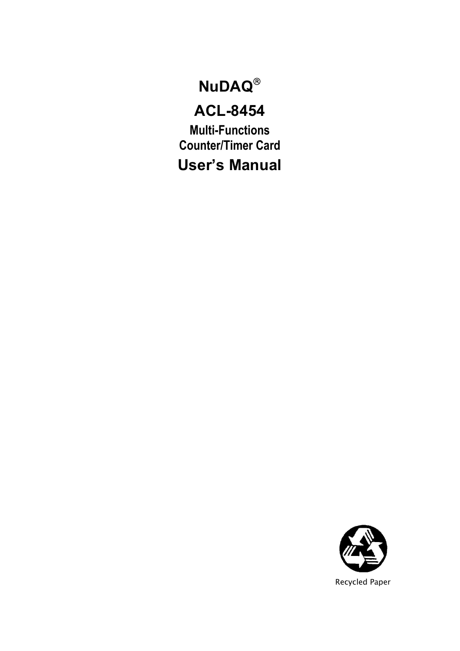# **NuDAQ**®

# **ACL-8454**

**Multi-Functions Counter/Timer Card User's Manual**

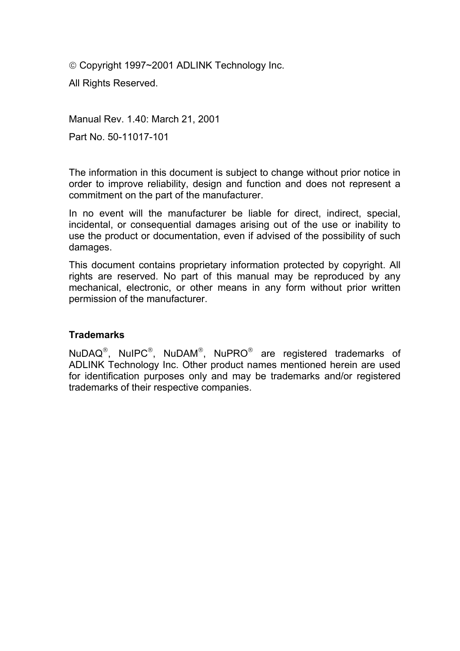© Copyright 1997~2001 ADLINK Technology Inc.

All Rights Reserved.

Manual Rev. 1.40: March 21, 2001 Part No. 50-11017-101

The information in this document is subject to change without prior notice in order to improve reliability, design and function and does not represent a commitment on the part of the manufacturer.

In no event will the manufacturer be liable for direct, indirect, special, incidental, or consequential damages arising out of the use or inability to use the product or documentation, even if advised of the possibility of such damages.

This document contains proprietary information protected by copyright. All rights are reserved. No part of this manual may be reproduced by any mechanical, electronic, or other means in any form without prior written permission of the manufacturer.

#### **Trademarks**

NuDAQ®, NuIPC®, NuDAM®, NuPRO® are registered trademarks of ADLINK Technology Inc. Other product names mentioned herein are used for identification purposes only and may be trademarks and/or registered trademarks of their respective companies.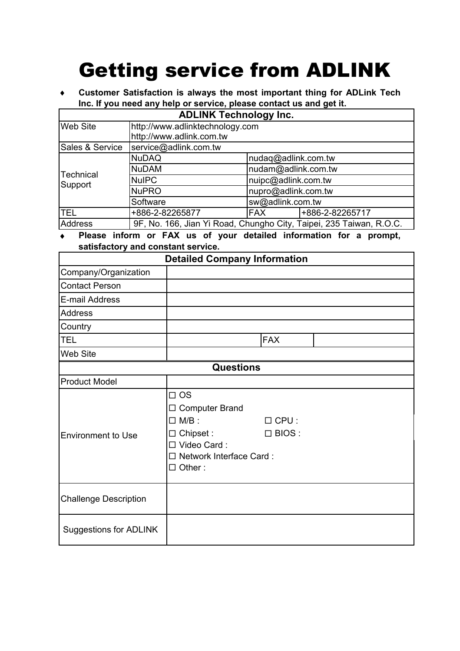# Getting service from ADLINK

♦ **Customer Satisfaction is always the most important thing for ADLink Tech Inc. If you need any help or service, please contact us and get it.** 

| <b>ADLINK Technology Inc.</b> |                                                                     |                     |                 |  |  |
|-------------------------------|---------------------------------------------------------------------|---------------------|-----------------|--|--|
| <b>Web Site</b>               | http://www.adlinktechnology.com                                     |                     |                 |  |  |
|                               | http://www.adlink.com.tw                                            |                     |                 |  |  |
| Sales & Service               | service@adlink.com.tw                                               |                     |                 |  |  |
| Technical                     | <b>NuDAQ</b>                                                        | nudag@adlink.com.tw |                 |  |  |
|                               | <b>NuDAM</b>                                                        | nudam@adlink.com.tw |                 |  |  |
| Support                       | nuipc@adlink.com.tw<br><b>NuIPC</b>                                 |                     |                 |  |  |
|                               | <b>NuPRO</b>                                                        | nupro@adlink.com.tw |                 |  |  |
|                               | Software                                                            | sw@adlink.com.tw    |                 |  |  |
| <b>TEL</b>                    | +886-2-82265877                                                     | <b>FAX</b>          | +886-2-82265717 |  |  |
| Address                       | 9F, No. 166, Jian Yi Road, Chungho City, Taipei, 235 Taiwan, R.O.C. |                     |                 |  |  |

Please inform or FAX us of your detailed information for a prompt, **satisfactory and constant service.** 

| <b>Detailed Company Information</b> |                                                                                                                                       |                               |  |  |  |
|-------------------------------------|---------------------------------------------------------------------------------------------------------------------------------------|-------------------------------|--|--|--|
| Company/Organization                |                                                                                                                                       |                               |  |  |  |
| <b>Contact Person</b>               |                                                                                                                                       |                               |  |  |  |
| E-mail Address                      |                                                                                                                                       |                               |  |  |  |
| <b>Address</b>                      |                                                                                                                                       |                               |  |  |  |
| Country                             |                                                                                                                                       |                               |  |  |  |
| <b>TEL</b>                          |                                                                                                                                       | <b>FAX</b>                    |  |  |  |
| Web Site                            |                                                                                                                                       |                               |  |  |  |
|                                     | <b>Questions</b>                                                                                                                      |                               |  |  |  |
| <b>Product Model</b>                |                                                                                                                                       |                               |  |  |  |
| Environment to Use                  | $\Box$ OS<br>$\Box$ Computer Brand<br>$\Box$ M/B :<br>$\Box$ Chipset :<br>□ Video Card:<br>□ Network Interface Card:<br>$\Box$ Other: | $\Box$ CPU :<br>$\Box$ BIOS : |  |  |  |
| <b>Challenge Description</b>        |                                                                                                                                       |                               |  |  |  |
| Suggestions for ADLINK              |                                                                                                                                       |                               |  |  |  |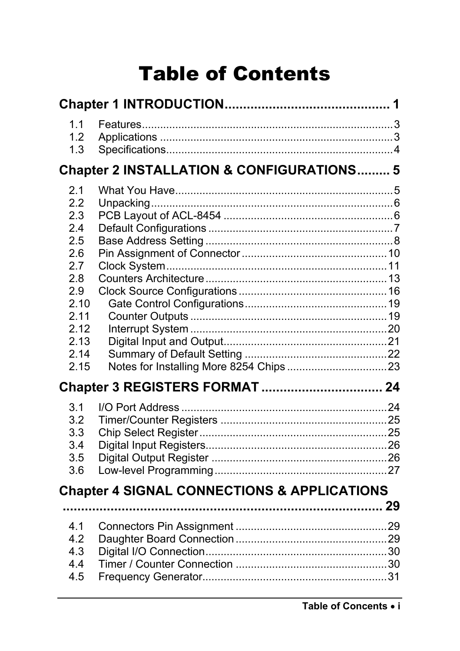# **Table of Contents**

| 1.1<br>1.2<br>1.3                                                                                           |                                                        |  |
|-------------------------------------------------------------------------------------------------------------|--------------------------------------------------------|--|
|                                                                                                             | Chapter 2 INSTALLATION & CONFIGURATIONS 5              |  |
| 2.1<br>2.2<br>2.3<br>2.4<br>2.5<br>2.6<br>2.7<br>2.8<br>2.9<br>2.10<br>2.11<br>2.12<br>2.13<br>2.14<br>2.15 |                                                        |  |
|                                                                                                             | Chapter 3 REGISTERS FORMAT  24                         |  |
| 3.1<br>3.2<br>3.3<br>3.4<br>3.5<br>3.6                                                                      |                                                        |  |
|                                                                                                             | <b>Chapter 4 SIGNAL CONNECTIONS &amp; APPLICATIONS</b> |  |
| 4.1<br>4.2<br>4.3<br>4.4<br>4.5                                                                             |                                                        |  |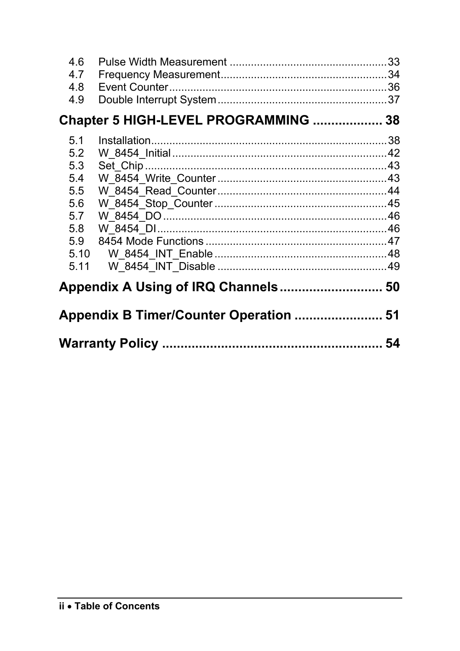| 4.6<br>4.7<br>4.8<br>4.9                                                    |                                      |  |  |  |
|-----------------------------------------------------------------------------|--------------------------------------|--|--|--|
|                                                                             | Chapter 5 HIGH-LEVEL PROGRAMMING  38 |  |  |  |
| 5.1<br>5.2<br>5.3<br>5.4<br>5.5<br>5.6<br>5.7<br>5.8<br>5.9<br>5.10<br>5.11 |                                      |  |  |  |
|                                                                             |                                      |  |  |  |
| Appendix B Timer/Counter Operation  51                                      |                                      |  |  |  |
|                                                                             |                                      |  |  |  |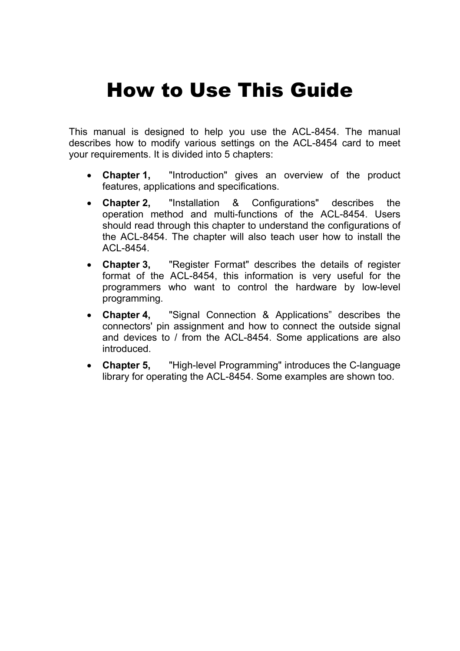# How to Use This Guide

This manual is designed to help you use the ACL-8454. The manual describes how to modify various settings on the ACL-8454 card to meet your requirements. It is divided into 5 chapters:

- **Chapter 1,** "Introduction" gives an overview of the product features, applications and specifications.
- **Chapter 2,** "Installation & Configurations" describes the operation method and multi-functions of the ACL-8454. Users should read through this chapter to understand the configurations of the ACL-8454. The chapter will also teach user how to install the ACL-8454.
- **Chapter 3,** "Register Format" describes the details of register format of the ACL-8454, this information is very useful for the programmers who want to control the hardware by low-level programming.
- **Chapter 4,** "Signal Connection & Applications" describes the connectors' pin assignment and how to connect the outside signal and devices to / from the ACL-8454. Some applications are also introduced.
- **Chapter 5,** "High-level Programming" introduces the C-language library for operating the ACL-8454. Some examples are shown too.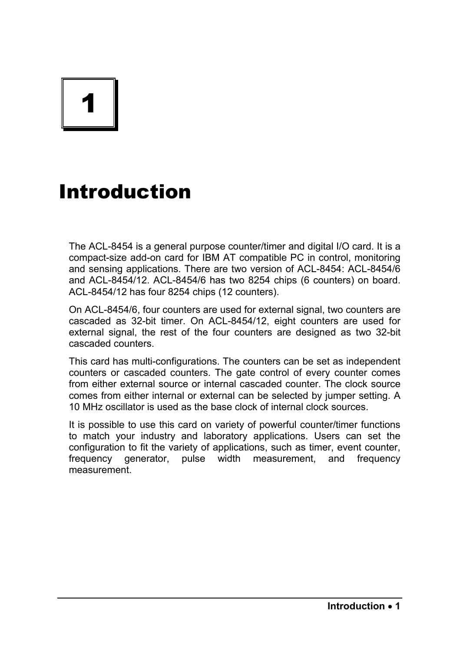# 1

# Introduction

The ACL-8454 is a general purpose counter/timer and digital I/O card. It is a compact-size add-on card for IBM AT compatible PC in control, monitoring and sensing applications. There are two version of ACL-8454: ACL-8454/6 and ACL-8454/12. ACL-8454/6 has two 8254 chips (6 counters) on board. ACL-8454/12 has four 8254 chips (12 counters).

On ACL-8454/6, four counters are used for external signal, two counters are cascaded as 32-bit timer. On ACL-8454/12, eight counters are used for external signal, the rest of the four counters are designed as two 32-bit cascaded counters.

This card has multi-configurations. The counters can be set as independent counters or cascaded counters. The gate control of every counter comes from either external source or internal cascaded counter. The clock source comes from either internal or external can be selected by jumper setting. A 10 MHz oscillator is used as the base clock of internal clock sources.

It is possible to use this card on variety of powerful counter/timer functions to match your industry and laboratory applications. Users can set the configuration to fit the variety of applications, such as timer, event counter, frequency generator, pulse width measurement, and frequency measurement.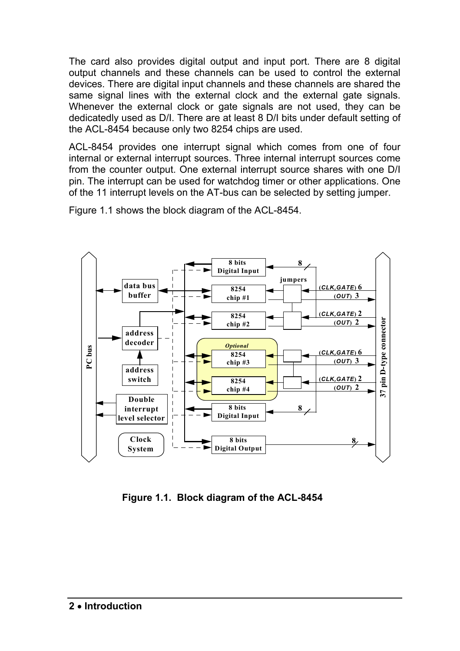The card also provides digital output and input port. There are 8 digital output channels and these channels can be used to control the external devices. There are digital input channels and these channels are shared the same signal lines with the external clock and the external gate signals. Whenever the external clock or gate signals are not used, they can be dedicatedly used as D/I. There are at least 8 D/I bits under default setting of the ACL-8454 because only two 8254 chips are used.

ACL-8454 provides one interrupt signal which comes from one of four internal or external interrupt sources. Three internal interrupt sources come from the counter output. One external interrupt source shares with one D/I pin. The interrupt can be used for watchdog timer or other applications. One of the 11 interrupt levels on the AT-bus can be selected by setting jumper.

Figure 1.1 shows the block diagram of the ACL-8454.



**Figure 1.1. Block diagram of the ACL-8454**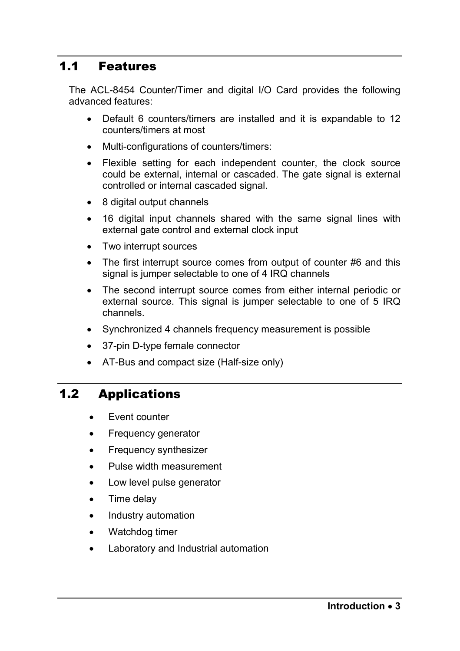## 1.1 Features

The ACL-8454 Counter/Timer and digital I/O Card provides the following advanced features:

- Default 6 counters/timers are installed and it is expandable to 12 counters/timers at most
- Multi-configurations of counters/timers:
- Flexible setting for each independent counter, the clock source could be external, internal or cascaded. The gate signal is external controlled or internal cascaded signal.
- 8 digital output channels
- 16 digital input channels shared with the same signal lines with external gate control and external clock input
- Two interrupt sources
- The first interrupt source comes from output of counter #6 and this signal is jumper selectable to one of 4 IRQ channels
- The second interrupt source comes from either internal periodic or external source. This signal is jumper selectable to one of 5 IRQ channels.
- Synchronized 4 channels frequency measurement is possible
- 37-pin D-type female connector
- AT-Bus and compact size (Half-size only)

# 1.2 Applications

- **Fvent counter**
- Frequency generator
- Frequency synthesizer
- Pulse width measurement
- Low level pulse generator
- Time delay
- Industry automation
- Watchdog timer
- Laboratory and Industrial automation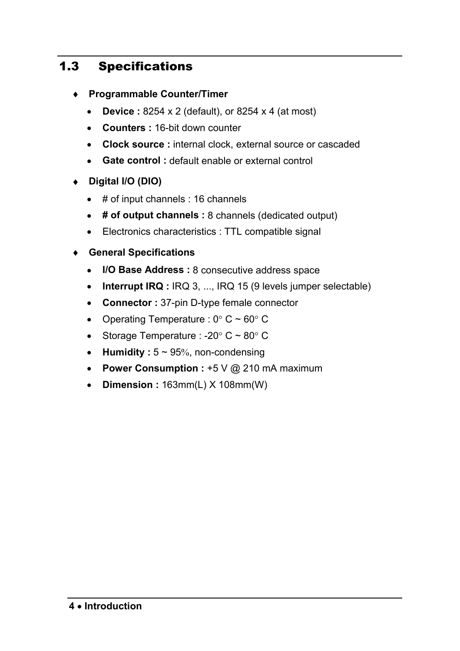# 1.3 Specifications

- ♦ **Programmable Counter/Timer** 
	- **Device :** 8254 x 2 (default), or 8254 x 4 (at most)
	- **Counters :** 16-bit down counter
	- **Clock source :** internal clock, external source or cascaded
	- **Gate control :** default enable or external control
- ♦ **Digital I/O (DIO)** 
	- # of input channels : 16 channels
	- **# of output channels :** 8 channels (dedicated output)
	- Electronics characteristics : TTL compatible signal
- ♦ **General Specifications** 
	- **I/O Base Address :** 8 consecutive address space
	- **Interrupt IRQ** : IRQ 3, ..., IRQ 15 (9 levels jumper selectable)
	- **Connector :** 37-pin D-type female connector
	- Operating Temperature :  $0^{\circ}$  C ~ 60° C
	- Storage Temperature : -20 $\degree$  C ~ 80 $\degree$  C
	- **Humidity** :  $5 \sim 95\%$ , non-condensing
	- **Power Consumption :** +5 V @ 210 mA maximum
	- **Dimension :** 163mm(L) X 108mm(W)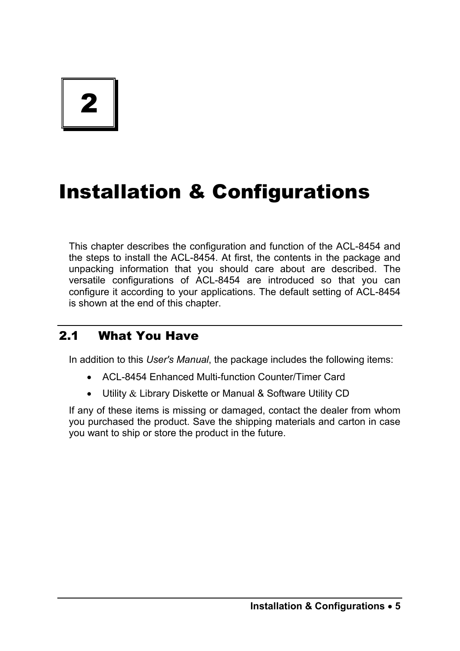# 2

# Installation & Configurations

This chapter describes the configuration and function of the ACL-8454 and the steps to install the ACL-8454. At first, the contents in the package and unpacking information that you should care about are described. The versatile configurations of ACL-8454 are introduced so that you can configure it according to your applications. The default setting of ACL-8454 is shown at the end of this chapter.

# 2.1 What You Have

In addition to this *User's Manual*, the package includes the following items:

- ACL-8454 Enhanced Multi-function Counter/Timer Card
- Utility & Library Diskette or Manual & Software Utility CD

If any of these items is missing or damaged, contact the dealer from whom you purchased the product. Save the shipping materials and carton in case you want to ship or store the product in the future.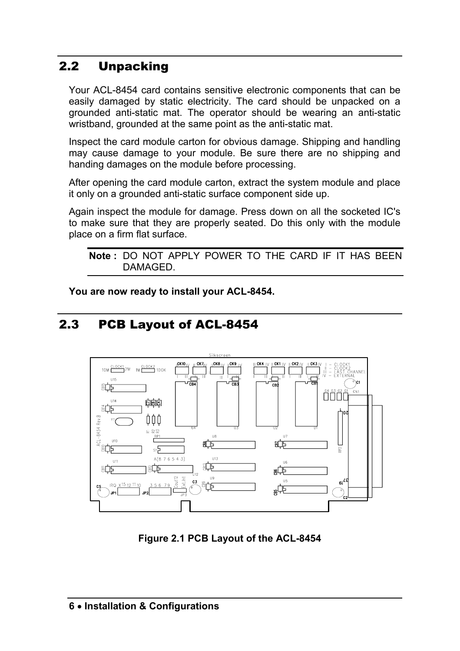# 2.2 Unpacking

Your ACL-8454 card contains sensitive electronic components that can be easily damaged by static electricity. The card should be unpacked on a grounded anti-static mat. The operator should be wearing an anti-static wristband, grounded at the same point as the anti-static mat.

Inspect the card module carton for obvious damage. Shipping and handling may cause damage to your module. Be sure there are no shipping and handing damages on the module before processing.

After opening the card module carton, extract the system module and place it only on a grounded anti-static surface component side up.

Again inspect the module for damage. Press down on all the socketed IC's to make sure that they are properly seated. Do this only with the module place on a firm flat surface.

```
Note : DO NOT APPLY POWER TO THE CARD IF IT HAS BEEN 
DAMAGED.
```
**You are now ready to install your ACL-8454.** 

# 2.3 PCB Layout of ACL-8454



**Figure 2.1 PCB Layout of the ACL-8454**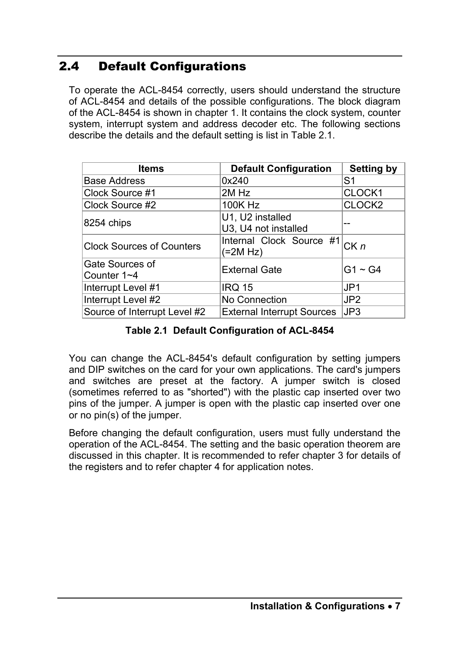# 2.4 Default Configurations

To operate the ACL-8454 correctly, users should understand the structure of ACL-8454 and details of the possible configurations. The block diagram of the ACL-8454 is shown in chapter 1. It contains the clock system, counter system, interrupt system and address decoder etc. The following sections describe the details and the default setting is list in Table 2.1.

| <b>Items</b>                     | <b>Default Configuration</b>             | <b>Setting by</b>  |
|----------------------------------|------------------------------------------|--------------------|
| <b>Base Address</b>              | 0x240                                    | S1                 |
| Clock Source #1                  | 2M Hz                                    | CLOCK1             |
| Clock Source #2                  | 100K Hz                                  | CLOCK <sub>2</sub> |
| 8254 chips                       | U1, U2 installed<br>U3, U4 not installed |                    |
| <b>Clock Sources of Counters</b> | Internal Clock Source #1<br>(=2M Hz)     | CKn                |
| Gate Sources of<br>Counter 1~4   | <b>External Gate</b>                     | $G1 \sim G4$       |
| Interrupt Level #1               | <b>IRQ 15</b>                            | JP <sub>1</sub>    |
| Interrupt Level #2               | No Connection                            | JP2                |
| Source of Interrupt Level #2     | <b>External Interrupt Sources</b>        | JP3                |

#### **Table 2.1 Default Configuration of ACL-8454**

You can change the ACL-8454's default configuration by setting jumpers and DIP switches on the card for your own applications. The card's jumpers and switches are preset at the factory. A jumper switch is closed (sometimes referred to as "shorted") with the plastic cap inserted over two pins of the jumper. A jumper is open with the plastic cap inserted over one or no pin(s) of the jumper.

Before changing the default configuration, users must fully understand the operation of the ACL-8454. The setting and the basic operation theorem are discussed in this chapter. It is recommended to refer chapter 3 for details of the registers and to refer chapter 4 for application notes.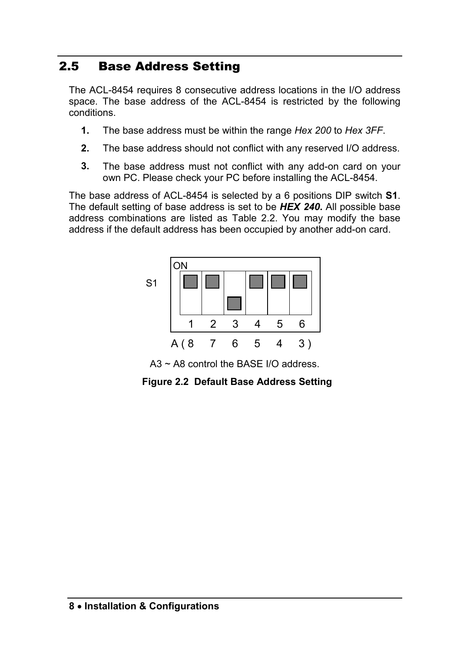# 2.5 Base Address Setting

The ACL-8454 requires 8 consecutive address locations in the I/O address space. The base address of the ACL-8454 is restricted by the following conditions.

- **1.** The base address must be within the range *Hex 200* to *Hex 3FF*.
- **2.** The base address should not conflict with any reserved I/O address.
- **3.** The base address must not conflict with any add-on card on your own PC. Please check your PC before installing the ACL-8454.

The base address of ACL-8454 is selected by a 6 positions DIP switch **S1**. The default setting of base address is set to be *HEX 240***.** All possible base address combinations are listed as Table 2.2. You may modify the base address if the default address has been occupied by another add-on card.



A3 ~ A8 control the BASE I/O address.

**Figure 2.2 Default Base Address Setting**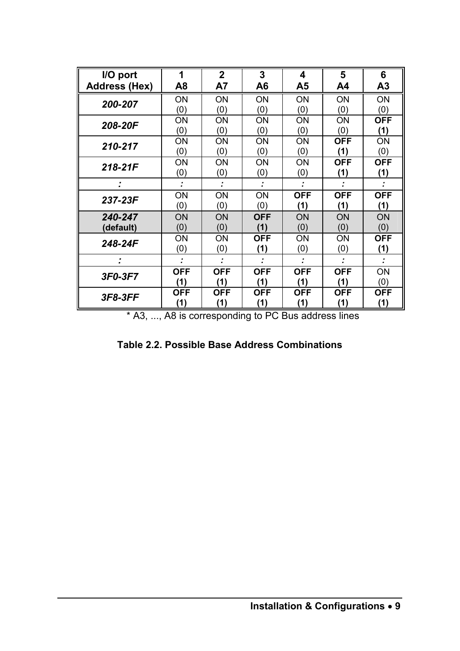| I/O port             | 1          | $\mathbf{2}$ | 3          | 4          | 5          | 6          |
|----------------------|------------|--------------|------------|------------|------------|------------|
| <b>Address (Hex)</b> | A8         | Α7           | A6         | Α5         | A4         | А3         |
| 200-207              | ON         | ON           | <b>ON</b>  | ON         | ON         | ON         |
|                      | (0)        | (0)          | (0)        | (0)        | (0)        | (0)        |
| 208-20F              | ΟN         | OΝ           | ΟN         | OΝ         | ON         | <b>OFF</b> |
|                      | (0)        | (0)          | (0)        | (0)        | (0)        | (1)        |
| 210-217              | ΟN         | ON           | OΝ         | OΝ         | <b>OFF</b> | ON         |
|                      | (0)        | (0)          | (0)        | (0)        | (1)        | (0)        |
| 218-21F              | ΟN         | ON           | ON         | OΝ         | <b>OFF</b> | <b>OFF</b> |
|                      | (0)        | (0)          | (0)        | (0)        | (1)        | (1)        |
| :                    |            |              |            |            |            |            |
|                      | ON         | ON           | ON         | <b>OFF</b> | <b>OFF</b> | <b>OFF</b> |
| 237-23F              | (0)        | (0)          | (0)        | (1)        | (1)        | (1)        |
| 240-247              | ON         | ON           | <b>OFF</b> | <b>ON</b>  | ON         | ON         |
| (default)            | (0)        | (0)          | (1)        | (0)        | (0)        | (0)        |
| 248-24F              | ΟN         | OΝ           | OFF        | OΝ         | ON         | <b>OFF</b> |
|                      | (0)        | (0)          | (1)        | (0)        | (0)        | (1)        |
| ٠                    | ٠          |              |            |            |            |            |
| 3F0-3F7              | OFF        | OFF          | OFF        | <b>OFF</b> | <b>OFF</b> | ON         |
|                      | (1)        | (1)          | (1)        | (1)        | (1)        | (0)        |
| 3F8-3FF              | <b>OFF</b> | <b>OFF</b>   | <b>OFF</b> | <b>OFF</b> | <b>OFF</b> | <b>OFF</b> |
|                      | (1)        | (1)          | (1)        | (1)        | (1)        | (1)        |

\* A3, ..., A8 is corresponding to PC Bus address lines

**Table 2.2. Possible Base Address Combinations**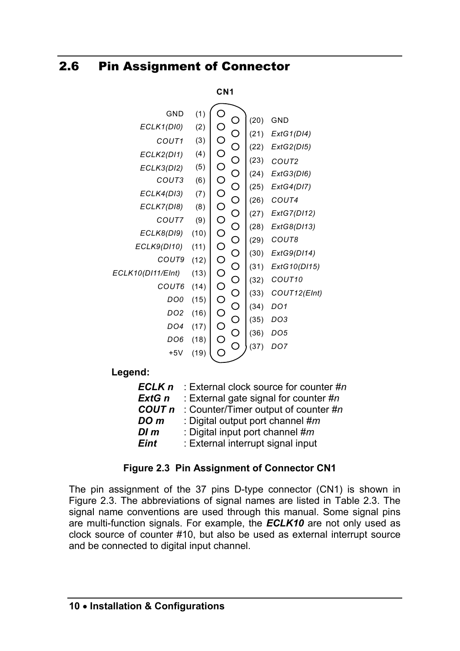# 2.6 Pin Assignment of Connector

#### **CN1**



**Legend:** 

| ECLK <sub>n</sub> | : External clock source for counter #n |
|-------------------|----------------------------------------|
| ExtG n            | : External gate signal for counter #n  |
| COUT <sub>n</sub> | : Counter/Timer output of counter #n   |
| DO <sub>m</sub>   | : Digital output port channel #m       |
| $DI$ $m$          | : Digital input port channel #m        |
| <b>Eint</b>       | : External interrupt signal input      |

#### **Figure 2.3 Pin Assignment of Connector CN1**

The pin assignment of the 37 pins D-type connector (CN1) is shown in Figure 2.3. The abbreviations of signal names are listed in Table 2.3. The signal name conventions are used through this manual. Some signal pins are multi-function signals. For example, the *ECLK10* are not only used as clock source of counter #10, but also be used as external interrupt source and be connected to digital input channel.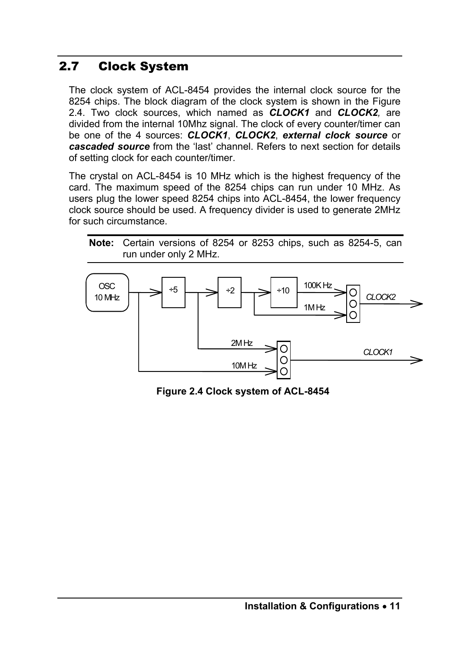# 2.7 Clock System

The clock system of ACL-8454 provides the internal clock source for the 8254 chips. The block diagram of the clock system is shown in the Figure 2.4. Two clock sources, which named as *CLOCK1* and *CLOCK2,* are divided from the internal 10Mhz signal. The clock of every counter/timer can be one of the 4 sources: *CLOCK1*, *CLOCK2*, *external clock source* or *cascaded source* from the 'last' channel. Refers to next section for details of setting clock for each counter/timer.

The crystal on ACL-8454 is 10 MHz which is the highest frequency of the card. The maximum speed of the 8254 chips can run under 10 MHz. As users plug the lower speed 8254 chips into ACL-8454, the lower frequency clock source should be used. A frequency divider is used to generate 2MHz for such circumstance.





**Figure 2.4 Clock system of ACL-8454**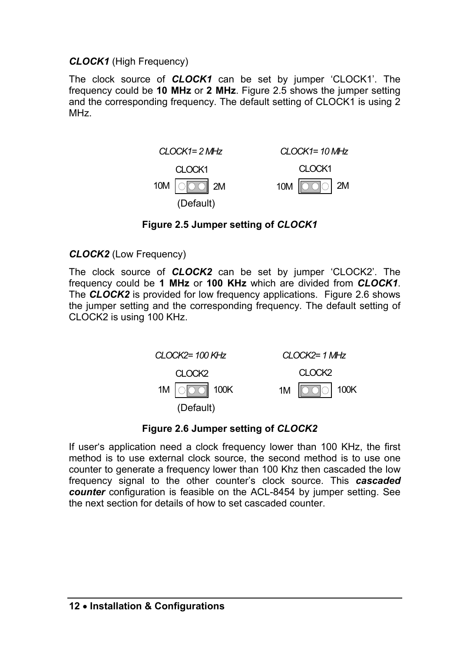#### *CLOCK1* (High Frequency)

The clock source of *CLOCK1* can be set by jumper 'CLOCK1'. The frequency could be **10 MHz** or **2 MHz**. Figure 2.5 shows the jumper setting and the corresponding frequency. The default setting of CLOCK1 is using 2 MHz.



#### **Figure 2.5 Jumper setting of** *CLOCK1*

#### *CLOCK2* (Low Frequency)

The clock source of *CLOCK2* can be set by jumper 'CLOCK2'. The frequency could be **1 MHz** or **100 KHz** which are divided from *CLOCK1*. The **CLOCK2** is provided for low frequency applications. Figure 2.6 shows the jumper setting and the corresponding frequency. The default setting of CLOCK2 is using 100 KHz.



#### **Figure 2.6 Jumper setting of** *CLOCK2*

If user's application need a clock frequency lower than 100 KHz, the first method is to use external clock source, the second method is to use one counter to generate a frequency lower than 100 Khz then cascaded the low frequency signal to the other counter's clock source. This *cascaded counter* configuration is feasible on the ACL-8454 by jumper setting. See the next section for details of how to set cascaded counter.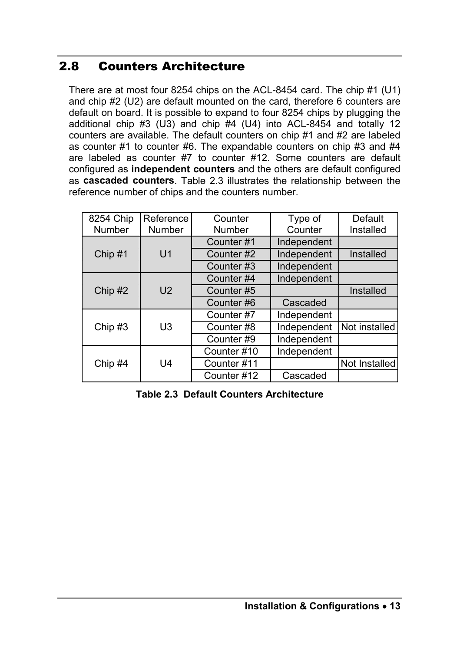# 2.8 Counters Architecture

There are at most four 8254 chips on the ACL-8454 card. The chip #1 (U1) and chip #2 (U2) are default mounted on the card, therefore 6 counters are default on board. It is possible to expand to four 8254 chips by plugging the additional chip #3 (U3) and chip  $#4$  (U4) into ACL-8454 and totally 12 counters are available. The default counters on chip #1 and #2 are labeled as counter  $#1$  to counter  $#6$ . The expandable counters on chip  $#3$  and  $#4$ are labeled as counter #7 to counter #12. Some counters are default configured as **independent counters** and the others are default configured as **cascaded counters**. Table 2.3 illustrates the relationship between the reference number of chips and the counters number.

| 8254 Chip     | Reference      | Counter     | Type of     | Default       |
|---------------|----------------|-------------|-------------|---------------|
| <b>Number</b> | Number         | Number      | Counter     | Installed     |
|               |                | Counter#1   | Independent |               |
| Chip #1       | U <sub>1</sub> | Counter#2   | Independent | Installed     |
|               |                | Counter#3   | Independent |               |
|               |                | Counter#4   | Independent |               |
| Chip #2       | U <sub>2</sub> | Counter#5   |             | Installed     |
|               |                | Counter#6   | Cascaded    |               |
|               |                | Counter#7   | Independent |               |
| Chip #3       | U3             | Counter#8   | Independent | Not installed |
|               |                | Counter#9   | Independent |               |
|               |                | Counter#10  | Independent |               |
| Chip #4       | U4             | Counter#11  |             | Not Installed |
|               |                | Counter #12 | Cascaded    |               |

**Table 2.3 Default Counters Architecture**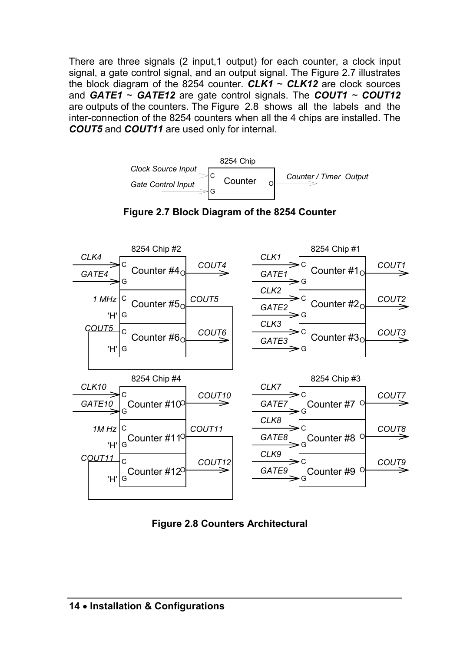There are three signals (2 input,1 output) for each counter, a clock input signal, a gate control signal, and an output signal. The Figure 2.7 illustrates the block diagram of the 8254 counter.  $CLK1 \sim CLK12$  are clock sources and *GATE1* ~ *GATE12* are gate control signals. The *COUT1 ~ COUT12* are outputs of the counters. The Figure 2.8 shows all the labels and the inter-connection of the 8254 counters when all the 4 chips are installed. The *COUT5* and *COUT11* are used only for internal.







**Figure 2.8 Counters Architectural**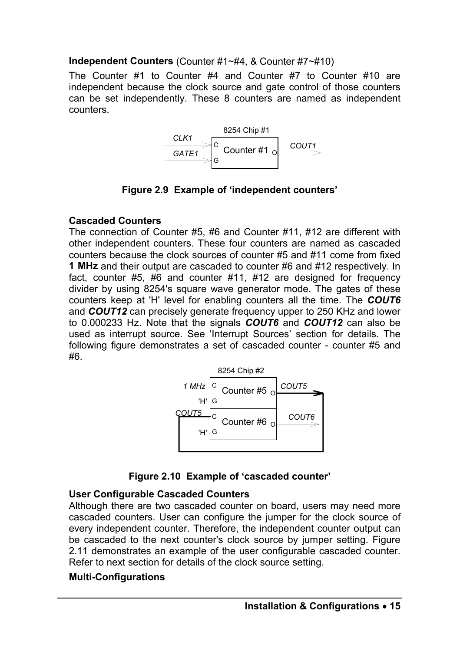#### **Independent Counters** (Counter #1~#4, & Counter #7~#10)

The Counter #1 to Counter #4 and Counter #7 to Counter #10 are independent because the clock source and gate control of those counters can be set independently. These 8 counters are named as independent counters.



**Figure 2.9 Example of 'independent counters'** 

#### **Cascaded Counters**

The connection of Counter #5, #6 and Counter #11, #12 are different with other independent counters. These four counters are named as cascaded counters because the clock sources of counter #5 and #11 come from fixed **1 MHz** and their output are cascaded to counter #6 and #12 respectively. In fact, counter #5, #6 and counter #11, #12 are designed for frequency divider by using 8254's square wave generator mode. The gates of these counters keep at 'H' level for enabling counters all the time. The *COUT6* and *COUT12* can precisely generate frequency upper to 250 KHz and lower to 0.000233 Hz. Note that the signals *COUT6* and *COUT12* can also be used as interrupt source. See 'Interrupt Sources' section for details. The following figure demonstrates a set of cascaded counter - counter #5 and #6.





#### **User Configurable Cascaded Counters**

Although there are two cascaded counter on board, users may need more cascaded counters. User can configure the jumper for the clock source of every independent counter. Therefore, the independent counter output can be cascaded to the next counter's clock source by jumper setting. Figure 2.11 demonstrates an example of the user configurable cascaded counter. Refer to next section for details of the clock source setting.

#### **Multi-Configurations**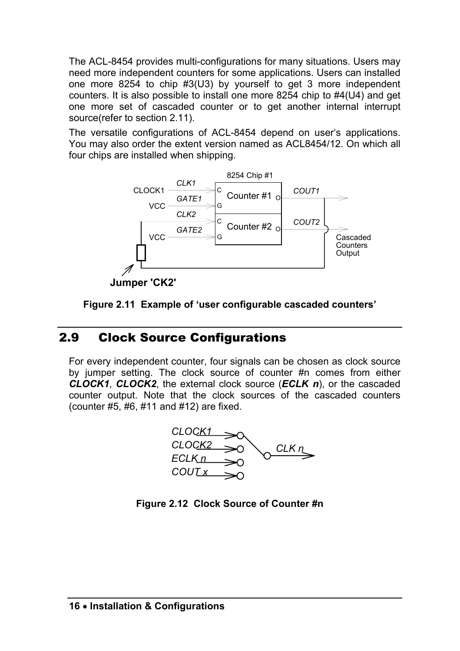The ACL-8454 provides multi-configurations for many situations. Users may need more independent counters for some applications. Users can installed one more 8254 to chip #3(U3) by yourself to get 3 more independent counters. It is also possible to install one more 8254 chip to #4(U4) and get one more set of cascaded counter or to get another internal interrupt source(refer to section 2.11).

The versatile configurations of ACL-8454 depend on user's applications. You may also order the extent version named as ACL8454/12. On which all four chips are installed when shipping.



**Jumper 'CK2'**



# 2.9 Clock Source Configurations

For every independent counter, four signals can be chosen as clock source by jumper setting. The clock source of counter #n comes from either *CLOCK1*, *CLOCK2*, the external clock source (*ECLK n*), or the cascaded counter output. Note that the clock sources of the cascaded counters (counter #5, #6, #11 and #12) are fixed.



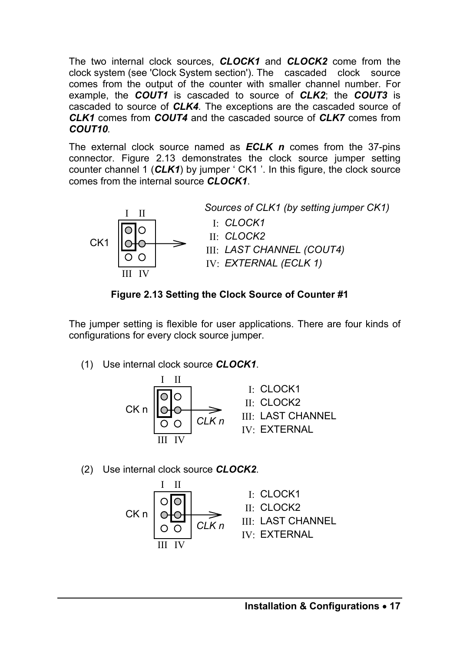The two internal clock sources, *CLOCK1* and *CLOCK2* come from the clock system (see 'Clock System section'). The cascaded clock source comes from the output of the counter with smaller channel number. For example, the *COUT1* is cascaded to source of *CLK2*; the *COUT3* is cascaded to source of *CLK4.* The exceptions are the cascaded source of *CLK1* comes from *COUT4* and the cascaded source of *CLK7* comes from *COUT10.* 

The external clock source named as *ECLK n* comes from the 37-pins connector. Figure 2.13 demonstrates the clock source jumper setting counter channel 1 (*CLK1*) by jumper ' CK1 '. In this figure, the clock source comes from the internal source *CLOCK1*.



**Figure 2.13 Setting the Clock Source of Counter #1** 

The jumper setting is flexible for user applications. There are four kinds of configurations for every clock source jumper.

(1) Use internal clock source *CLOCK1*.



(2) Use internal clock source *CLOCK2*.

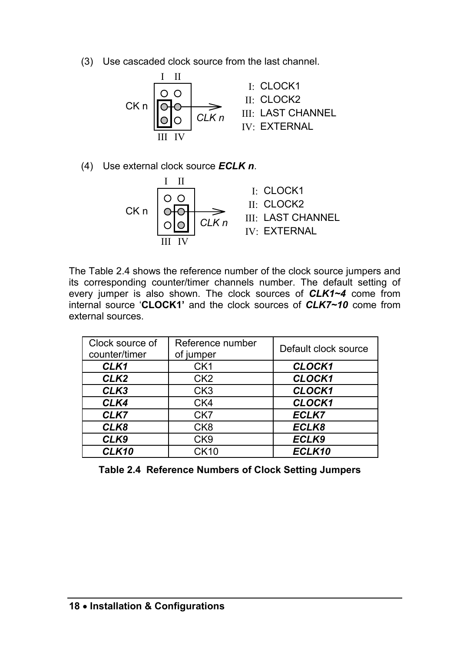(3) Use cascaded clock source from the last channel.



(4) Use external clock source *ECLK n*.



The Table 2.4 shows the reference number of the clock source jumpers and its corresponding counter/timer channels number. The default setting of every jumper is also shown. The clock sources of *CLK1~4* come from internal source '**CLOCK1'** and the clock sources of *CLK7~10* come from external sources.

| Clock source of<br>counter/timer | Reference number<br>of jumper | Default clock source |
|----------------------------------|-------------------------------|----------------------|
| CLK1                             | CK <sub>1</sub>               | <b>CLOCK1</b>        |
| CLK <sub>2</sub>                 | CK <sub>2</sub>               | CLOCK1               |
| CLK3                             | CK <sub>3</sub>               | <b>CLOCK1</b>        |
| CLK4                             | CK4                           | <b>CLOCK1</b>        |
| CLK7                             | CK7                           | ECLK7                |
| CLK8                             | CK <sub>8</sub>               | ECLK8                |
| CLK9                             | CK9                           | ECLK9                |
| CLK10                            | CK10                          | ECLK10               |

**Table 2.4 Reference Numbers of Clock Setting Jumpers**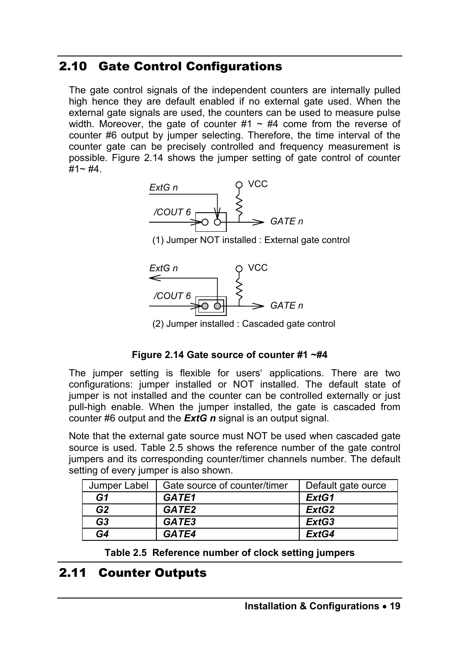# 2.10 Gate Control Configurations

The gate control signals of the independent counters are internally pulled high hence they are default enabled if no external gate used. When the external gate signals are used, the counters can be used to measure pulse width. Moreover, the gate of counter  $#1 \sim #4$  come from the reverse of counter #6 output by jumper selecting. Therefore, the time interval of the counter gate can be precisely controlled and frequency measurement is possible. Figure 2.14 shows the jumper setting of gate control of counter  $#1~$   $#4$ .



(1) Jumper NOT installed : External gate control



(2) Jumper installed : Cascaded gate control

#### **Figure 2.14 Gate source of counter #1 ~#4**

The jumper setting is flexible for users' applications. There are two configurations: jumper installed or NOT installed. The default state of jumper is not installed and the counter can be controlled externally or just pull-high enable. When the jumper installed, the gate is cascaded from counter #6 output and the *ExtG n* signal is an output signal.

Note that the external gate source must NOT be used when cascaded gate source is used. Table 2.5 shows the reference number of the gate control jumpers and its corresponding counter/timer channels number. The default setting of every jumper is also shown.

| Jumper Label   | Gate source of counter/timer | Default gate ource |
|----------------|------------------------------|--------------------|
| G1             | GATE1                        | ExtG1              |
| G2             | GATE2                        | ExtG <sub>2</sub>  |
| G <sub>3</sub> | GATE3                        | ExtG3              |
| G4             | GATE4                        | ExtG4              |

**Table 2.5 Reference number of clock setting jumpers** 

# 2.11 Counter Outputs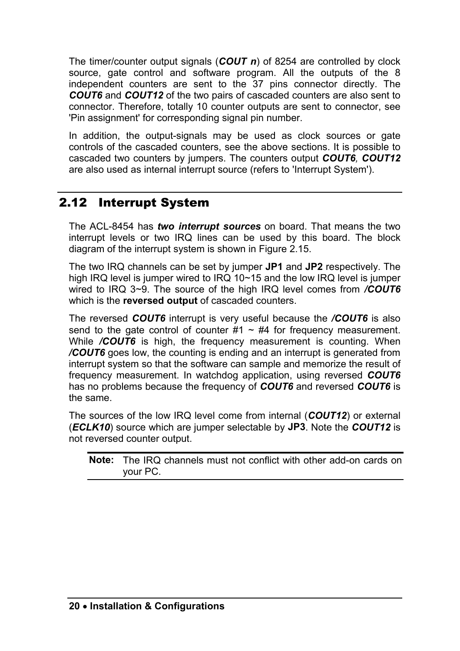The timer/counter output signals (*COUT n*) of 8254 are controlled by clock source, gate control and software program. All the outputs of the 8 independent counters are sent to the 37 pins connector directly. The *COUT6* and *COUT12* of the two pairs of cascaded counters are also sent to connector. Therefore, totally 10 counter outputs are sent to connector, see 'Pin assignment' for corresponding signal pin number.

In addition, the output-signals may be used as clock sources or gate controls of the cascaded counters, see the above sections. It is possible to cascaded two counters by jumpers. The counters output *COUT6, COUT12* are also used as internal interrupt source (refers to 'Interrupt System').

# 2.12 Interrupt System

The ACL-8454 has *two interrupt sources* on board. That means the two interrupt levels or two IRQ lines can be used by this board. The block diagram of the interrupt system is shown in Figure 2.15.

The two IRQ channels can be set by jumper **JP1** and **JP2** respectively. The high IRQ level is jumper wired to IRQ 10~15 and the low IRQ level is jumper wired to IRQ 3~9. The source of the high IRQ level comes from */COUT6* which is the **reversed output** of cascaded counters.

The reversed *COUT6* interrupt is very useful because the */COUT6* is also send to the gate control of counter  $\#1 \sim #4$  for frequency measurement. While */COUT6* is high, the frequency measurement is counting. When */COUT6* goes low, the counting is ending and an interrupt is generated from interrupt system so that the software can sample and memorize the result of frequency measurement. In watchdog application, using reversed *COUT6* has no problems because the frequency of *COUT6* and reversed *COUT6* is the same.

The sources of the low IRQ level come from internal (*COUT12*) or external (*ECLK10*) source which are jumper selectable by **JP3**. Note the *COUT12* is not reversed counter output.

**Note:** The IRQ channels must not conflict with other add-on cards on your PC.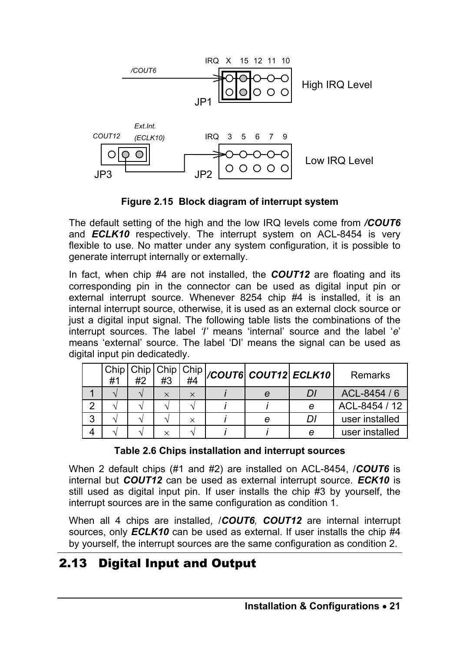

**Figure 2.15 Block diagram of interrupt system** 

The default setting of the high and the low IRQ levels come from */COUT6* and *ECLK10* respectively. The interrupt system on ACL-8454 is very flexible to use. No matter under any system configuration, it is possible to generate interrupt internally or externally.

In fact, when chip #4 are not installed, the *COUT12* are floating and its corresponding pin in the connector can be used as digital input pin or external interrupt source. Whenever 8254 chip #4 is installed, it is an internal interrupt source, otherwise, it is used as an external clock source or just a digital input signal. The following table lists the combinations of the interrupt sources. The label *'I'* means 'internal' source and the label '*e*' means 'external' source. The label 'DI' means the signal can be used as digital input pin dedicatedly.

|   |  |          |          |   | $\frac{1}{2}$ Chip Chip Chip Chip   COUT6 COUT12 ECLK10 | Remarks        |
|---|--|----------|----------|---|---------------------------------------------------------|----------------|
|   |  |          |          |   |                                                         |                |
|   |  | $\times$ | $\times$ | е | D.                                                      | ACL-8454 / 6   |
|   |  |          |          |   | е                                                       | ACL-8454 / 12  |
| 3 |  |          |          | е | D.                                                      | user installed |
|   |  | $\times$ |          |   | е                                                       | user installed |

#### **Table 2.6 Chips installation and interrupt sources**

When 2 default chips (#1 and #2) are installed on ACL-8454, /*COUT6* is internal but *COUT12* can be used as external interrupt source. *ECK10* is still used as digital input pin. If user installs the chip #3 by yourself, the interrupt sources are in the same configuration as condition 1.

When all 4 chips are installed, /*COUT6, COUT12* are internal interrupt sources, only *ECLK10* can be used as external. If user installs the chip #4 by yourself, the interrupt sources are the same configuration as condition 2.

# 2.13 Digital Input and Output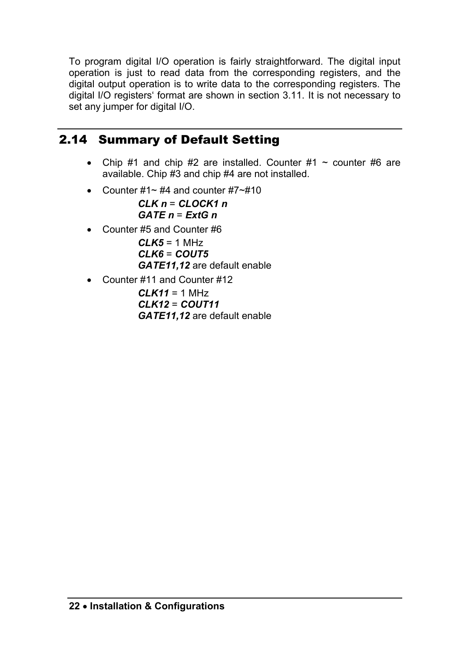To program digital I/O operation is fairly straightforward. The digital input operation is just to read data from the corresponding registers, and the digital output operation is to write data to the corresponding registers. The digital I/O registers' format are shown in section 3.11. It is not necessary to set any jumper for digital I/O.

# 2.14 Summary of Default Setting

- Chip #1 and chip #2 are installed. Counter #1  $\sim$  counter #6 are available. Chip #3 and chip #4 are not installed.
- Counter  $\#1\sim\#4$  and counter  $\#7\sim\#10$

*CLK n* = *CLOCK1 n GATE n* = *ExtG n* 

• Counter #5 and Counter #6

 $C<sub>L</sub> K5 = 1 MHz$ *CLK6* = *COUT5 GATE11,12* are default enable

• Counter #11 and Counter #12

*CLK11* = 1 MHz *CLK12* = *COUT11 GATE11,12* are default enable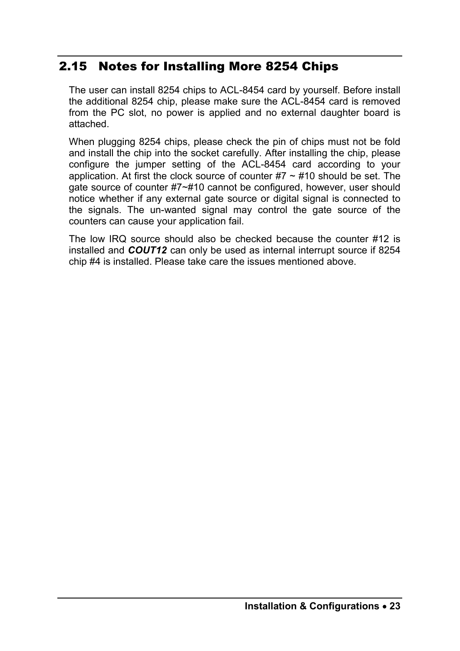# 2.15 Notes for Installing More 8254 Chips

The user can install 8254 chips to ACL-8454 card by yourself. Before install the additional 8254 chip, please make sure the ACL-8454 card is removed from the PC slot, no power is applied and no external daughter board is attached.

When plugging 8254 chips, please check the pin of chips must not be fold and install the chip into the socket carefully. After installing the chip, please configure the jumper setting of the ACL-8454 card according to your application. At first the clock source of counter  $#7 \sim #10$  should be set. The gate source of counter #7~#10 cannot be configured, however, user should notice whether if any external gate source or digital signal is connected to the signals. The un-wanted signal may control the gate source of the counters can cause your application fail.

The low IRQ source should also be checked because the counter #12 is installed and *COUT12* can only be used as internal interrupt source if 8254 chip #4 is installed. Please take care the issues mentioned above.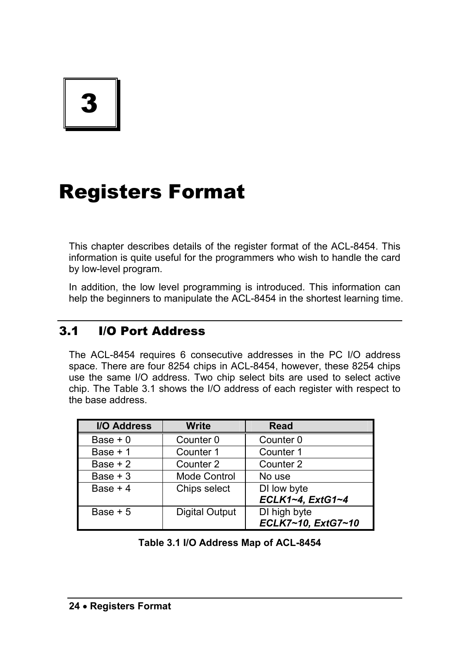3

# Registers Format

This chapter describes details of the register format of the ACL-8454. This information is quite useful for the programmers who wish to handle the card by low-level program.

In addition, the low level programming is introduced. This information can help the beginners to manipulate the ACL-8454 in the shortest learning time.

# 3.1 I/O Port Address

The ACL-8454 requires 6 consecutive addresses in the PC I/O address space. There are four 8254 chips in ACL-8454, however, these 8254 chips use the same I/O address. Two chip select bits are used to select active chip. The Table 3.1 shows the I/O address of each register with respect to the base address.

| <b>I/O Address</b> | <b>Write</b>          | Read               |
|--------------------|-----------------------|--------------------|
| Base $+0$          | Counter 0             | Counter 0          |
| Base $+1$          | Counter 1             | Counter 1          |
| Base $+2$          | Counter 2             | Counter 2          |
| Base $+3$          | Mode Control          | No use             |
| Base $+4$          | Chips select          | DI low byte        |
|                    |                       | ECLK1~4, ExtG1~4   |
| Base $+5$          | <b>Digital Output</b> | DI high byte       |
|                    |                       | ECLK7~10, ExtG7~10 |

**Table 3.1 I/O Address Map of ACL-8454**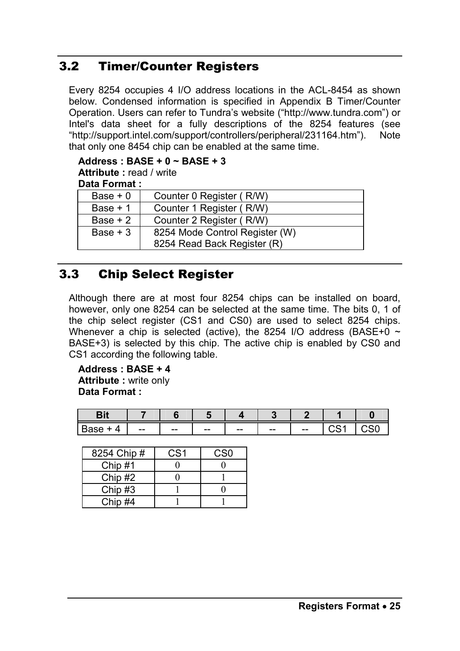# 3.2 Timer/Counter Registers

Every 8254 occupies 4 I/O address locations in the ACL-8454 as shown below. Condensed information is specified in Appendix B Timer/Counter Operation. Users can refer to Tundra's website ("http://www.tundra.com") or Intel's data sheet for a fully descriptions of the 8254 features (see "http://support.intel.com/support/controllers/peripheral/231164.htm"). Note that only one 8454 chip can be enabled at the same time.

#### **Address : BASE + 0 ~ BASE + 3**

**Attribute :** read / write

| Data Format: |                                |
|--------------|--------------------------------|
| Base $+0$    | Counter 0 Register (R/W)       |
| Base + 1     | Counter 1 Register (R/W)       |
| Base $+2$    | Counter 2 Register (R/W)       |
| $Base + 3$   | 8254 Mode Control Register (W) |
|              | 8254 Read Back Register (R)    |

# 3.3 Chip Select Register

Although there are at most four 8254 chips can be installed on board, however, only one 8254 can be selected at the same time. The bits 0, 1 of the chip select register (CS1 and CS0) are used to select 8254 chips. Whenever a chip is selected (active), the 8254 I/O address (BASE+0  $\sim$ BASE+3) is selected by this chip. The active chip is enabled by CS0 and CS1 according the following table.

**Address : BASE + 4 Attribute :** write only **Data Format :** 

| .<br>. |                          |                          |             |             |             |                          |        |  |
|--------|--------------------------|--------------------------|-------------|-------------|-------------|--------------------------|--------|--|
| −      | $\overline{\phantom{m}}$ | $\overline{\phantom{m}}$ | $- -$<br>-- | $- -$<br>-- | $- -$<br>-- | $\overline{\phantom{m}}$ | $\sim$ |  |

| 8254 Chip # | CS1 | CS <sub>0</sub> |
|-------------|-----|-----------------|
| Chip $#1$   |     |                 |
| Chip #2     |     |                 |
| Chip #3     |     |                 |
| Chip #4     |     |                 |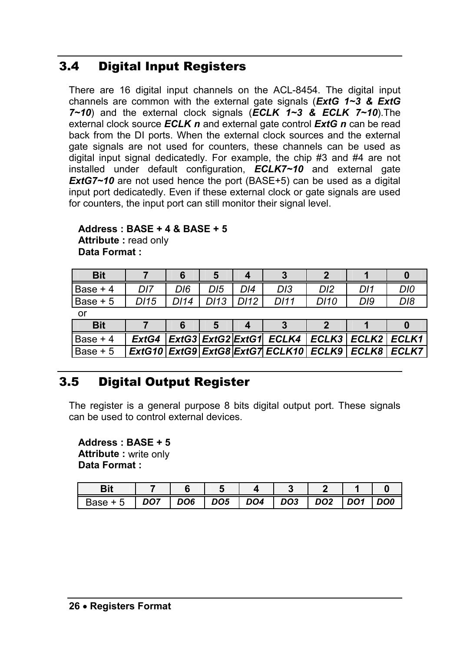# 3.4 Digital Input Registers

There are 16 digital input channels on the ACL-8454. The digital input channels are common with the external gate signals (*ExtG 1~3 & ExtG 7~10*) and the external clock signals (*ECLK 1~3 & ECLK 7~10*).The external clock source *ECLK n* and external gate control *ExtG n* can be read back from the DI ports. When the external clock sources and the external gate signals are not used for counters, these channels can be used as digital input signal dedicatedly. For example, the chip #3 and #4 are not installed under default configuration, *ECLK7~10* and external gate *ExtG7~10* are not used hence the port (BASE+5) can be used as a digital input port dedicatedly. Even if these external clock or gate signals are used for counters, the input port can still monitor their signal level.

#### **Address : BASE + 4 & BASE + 5 Attribute :** read only **Data Format :**

| <b>Bit</b> |                 |      |      |      |                                                                 |                 |     |     |
|------------|-----------------|------|------|------|-----------------------------------------------------------------|-----------------|-----|-----|
| Base $+4$  | DI7             | DI6  | DI5  | DI4  | DI3                                                             | D <sub>12</sub> | DI1 | DI0 |
| Base + 5   | D <sub>15</sub> | D114 | D113 | D112 | DI11                                                            | D110            | DI9 | DI8 |
| or         |                 |      |      |      |                                                                 |                 |     |     |
| <b>Bit</b> |                 |      |      |      |                                                                 |                 |     |     |
| Base $+4$  | ExtG4           |      |      |      | ExtG3 ExtG2 ExtG1 ECLK4   ECLK3   ECLK2   ECLK1                 |                 |     |     |
| Base $+5$  |                 |      |      |      | ExtG10   ExtG9   ExtG8   ExtG7   ECLK10   ECLK9   ECLK8   ECLK7 |                 |     |     |

# 3.5 Digital Output Register

The register is a general purpose 8 bits digital output port. These signals can be used to control external devices.

#### **Address : BASE + 5 Attribute :** write only **Data Format :**

| ≀aee | DO7 | DO6 | DO <sub>5</sub> | DO <sub>4</sub> | DO <sub>3</sub> | DO <sub>2</sub> | DO <sub>1</sub> | DO <sub>0</sub> |
|------|-----|-----|-----------------|-----------------|-----------------|-----------------|-----------------|-----------------|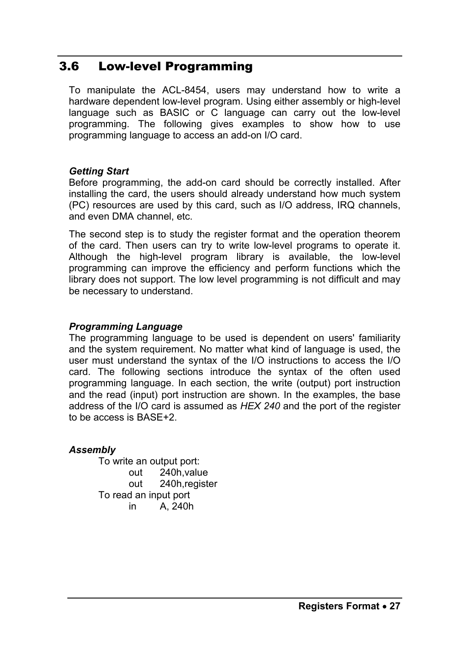# 3.6 Low-level Programming

To manipulate the ACL-8454, users may understand how to write a hardware dependent low-level program. Using either assembly or high-level language such as BASIC or C language can carry out the low-level programming. The following gives examples to show how to use programming language to access an add-on I/O card.

#### *Getting Start*

Before programming, the add-on card should be correctly installed. After installing the card, the users should already understand how much system (PC) resources are used by this card, such as I/O address, IRQ channels, and even DMA channel, etc.

The second step is to study the register format and the operation theorem of the card. Then users can try to write low-level programs to operate it. Although the high-level program library is available, the low-level programming can improve the efficiency and perform functions which the library does not support. The low level programming is not difficult and may be necessary to understand.

#### *Programming Language*

The programming language to be used is dependent on users' familiarity and the system requirement. No matter what kind of language is used, the user must understand the syntax of the I/O instructions to access the I/O card. The following sections introduce the syntax of the often used programming language. In each section, the write (output) port instruction and the read (input) port instruction are shown. In the examples, the base address of the I/O card is assumed as *HEX 240* and the port of the register to be access is BASE+2.

#### *Assembly*

To write an output port: out 240h,value out 240h,register To read an input port in A, 240h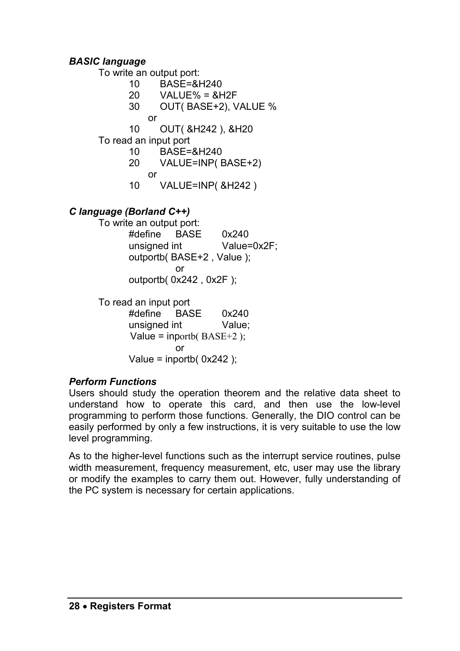#### *BASIC language*

To write an output port:

- 10 BASE=&H240
- $20$  VALUE% =  $8$ H<sub>2</sub>F
- 30 OUT( BASE+2), VALUE %
	- or
- 10 OUT( &H242 ), &H20

To read an input port

- 10 BASE=&H240
- 20 VALUE=INP( BASE+2)
	- or
- 10 VALUE=INP( &H242 )

#### *C language (Borland C++)*

To write an output port: #define BASE 0x240 unsigned int Value=0x2F; outportb( BASE+2 , Value ); **or or or** outportb( 0x242 , 0x2F );

To read an input port

 #define BASE 0x240 unsigned int Value: Value = inportb( $BASE+2$ ); **or or or** Value = inportb( $0x242$ );

#### *Perform Functions*

Users should study the operation theorem and the relative data sheet to understand how to operate this card, and then use the low-level programming to perform those functions. Generally, the DIO control can be easily performed by only a few instructions, it is very suitable to use the low level programming.

As to the higher-level functions such as the interrupt service routines, pulse width measurement, frequency measurement, etc, user may use the library or modify the examples to carry them out. However, fully understanding of the PC system is necessary for certain applications.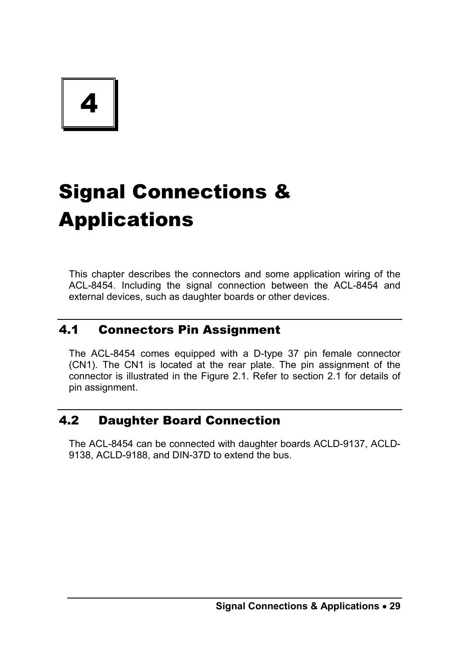4

# Signal Connections & Applications

This chapter describes the connectors and some application wiring of the ACL-8454. Including the signal connection between the ACL-8454 and external devices, such as daughter boards or other devices.

## 4.1 Connectors Pin Assignment

The ACL-8454 comes equipped with a D-type 37 pin female connector (CN1). The CN1 is located at the rear plate. The pin assignment of the connector is illustrated in the Figure 2.1. Refer to section 2.1 for details of pin assignment.

# 4.2 Daughter Board Connection

The ACL-8454 can be connected with daughter boards ACLD-9137, ACLD-9138, ACLD-9188, and DIN-37D to extend the bus.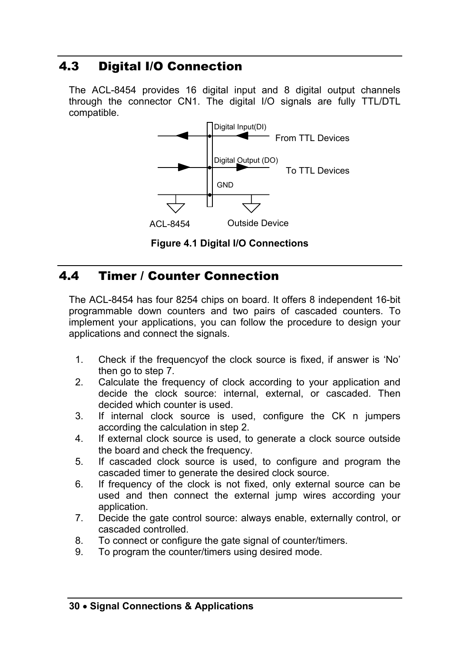# 4.3 Digital I/O Connection

The ACL-8454 provides 16 digital input and 8 digital output channels through the connector CN1. The digital I/O signals are fully TTL/DTL compatible.



**Figure 4.1 Digital I/O Connections** 

# 4.4 Timer / Counter Connection

The ACL-8454 has four 8254 chips on board. It offers 8 independent 16-bit programmable down counters and two pairs of cascaded counters. To implement your applications, you can follow the procedure to design your applications and connect the signals.

- 1. Check if the frequencyof the clock source is fixed, if answer is 'No' then go to step 7.
- 2. Calculate the frequency of clock according to your application and decide the clock source: internal, external, or cascaded. Then decided which counter is used.
- 3. If internal clock source is used, configure the CK n jumpers according the calculation in step 2.
- 4. If external clock source is used, to generate a clock source outside the board and check the frequency.
- 5. If cascaded clock source is used, to configure and program the cascaded timer to generate the desired clock source.
- 6. If frequency of the clock is not fixed, only external source can be used and then connect the external jump wires according your application.
- 7. Decide the gate control source: always enable, externally control, or cascaded controlled.
- 8. To connect or configure the gate signal of counter/timers.
- 9. To program the counter/timers using desired mode.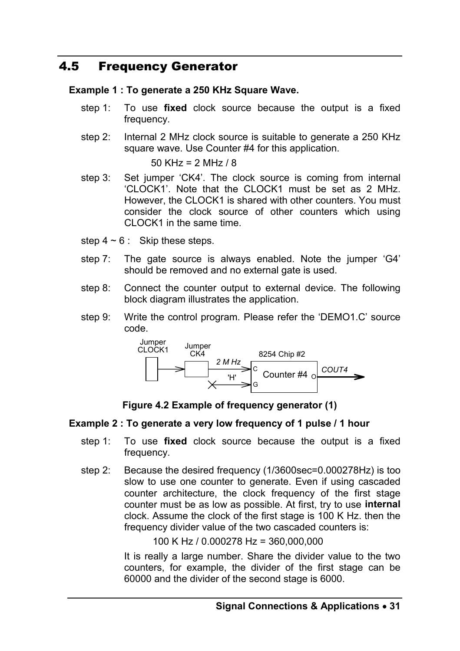# 4.5 Frequency Generator

#### **Example 1 : To generate a 250 KHz Square Wave.**

- step 1: To use **fixed** clock source because the output is a fixed frequency.
- step 2: Internal 2 MHz clock source is suitable to generate a 250 KHz square wave. Use Counter #4 for this application.

50 KHz = 2 MHz / 8

- step 3: Set jumper 'CK4'. The clock source is coming from internal 'CLOCK1'. Note that the CLOCK1 must be set as 2 MHz. However, the CLOCK1 is shared with other counters. You must consider the clock source of other counters which using CLOCK1 in the same time.
- step  $4 \sim 6$  : Skip these steps.
- step 7: The gate source is always enabled. Note the jumper 'G4' should be removed and no external gate is used.
- step 8: Connect the counter output to external device. The following block diagram illustrates the application.
- step 9: Write the control program. Please refer the 'DEMO1.C' source code.





#### **Example 2 : To generate a very low frequency of 1 pulse / 1 hour**

- step 1: To use **fixed** clock source because the output is a fixed frequency.
- step 2: Because the desired frequency (1/3600sec=0.000278Hz) is too slow to use one counter to generate. Even if using cascaded counter architecture, the clock frequency of the first stage counter must be as low as possible. At first, try to use **internal** clock. Assume the clock of the first stage is 100 K Hz. then the frequency divider value of the two cascaded counters is:

100 K Hz / 0.000278 Hz = 360,000,000

It is really a large number. Share the divider value to the two counters, for example, the divider of the first stage can be 60000 and the divider of the second stage is 6000.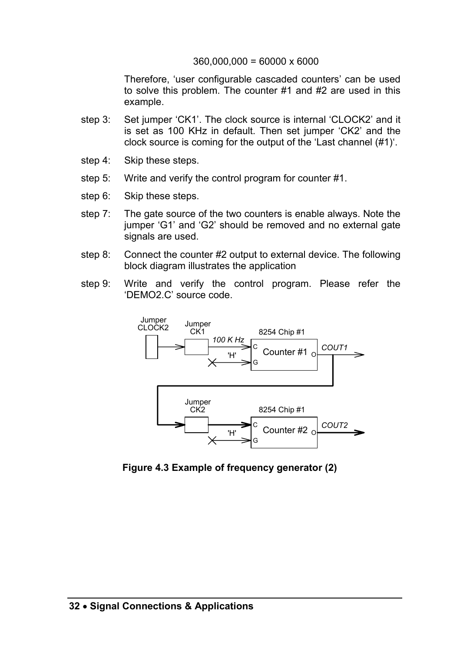#### 360,000,000 = 60000 x 6000

Therefore, 'user configurable cascaded counters' can be used to solve this problem. The counter #1 and #2 are used in this example.

- step 3: Set jumper 'CK1'. The clock source is internal 'CLOCK2' and it is set as 100 KHz in default. Then set jumper 'CK2' and the clock source is coming for the output of the 'Last channel (#1)'.
- step 4: Skip these steps.
- step 5: Write and verify the control program for counter #1.
- step 6: Skip these steps.
- step 7: The gate source of the two counters is enable always. Note the jumper 'G1' and 'G2' should be removed and no external gate signals are used.
- step 8: Connect the counter #2 output to external device. The following block diagram illustrates the application
- step 9: Write and verify the control program. Please refer the 'DEMO2.C' source code.



**Figure 4.3 Example of frequency generator (2)**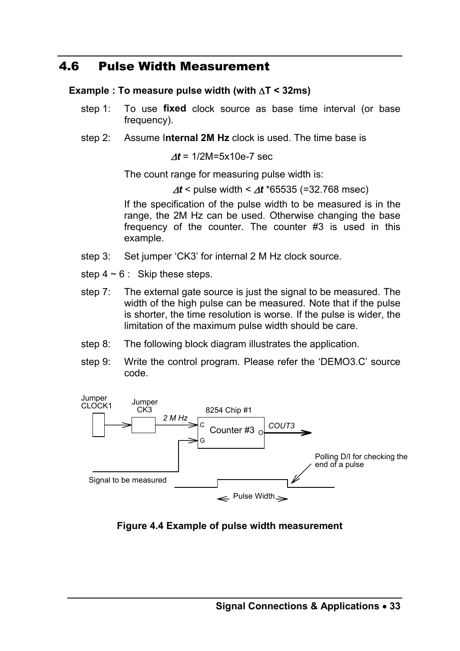## 4.6 Pulse Width Measurement

#### **Example : To measure pulse width (with** ∆**T < 32ms)**

- step 1: To use **fixed** clock source as base time interval (or base frequency).
- step 2: Assume I**nternal 2M Hz** clock is used. The time base is

<sup>∆</sup>*t* = 1/2M=5x10e-7 sec

The count range for measuring pulse width is:

<sup>∆</sup>*t* < pulse width < ∆*t* \*65535 (=32.768 msec)

If the specification of the pulse width to be measured is in the range, the 2M Hz can be used. Otherwise changing the base frequency of the counter. The counter #3 is used in this example.

- step 3: Set jumper 'CK3' for internal 2 M Hz clock source.
- step  $4 \sim 6$ : Skip these steps.
- step 7: The external gate source is just the signal to be measured. The width of the high pulse can be measured. Note that if the pulse is shorter, the time resolution is worse. If the pulse is wider, the limitation of the maximum pulse width should be care.
- step 8: The following block diagram illustrates the application.
- step 9: Write the control program. Please refer the 'DEMO3.C' source code.



#### **Figure 4.4 Example of pulse width measurement**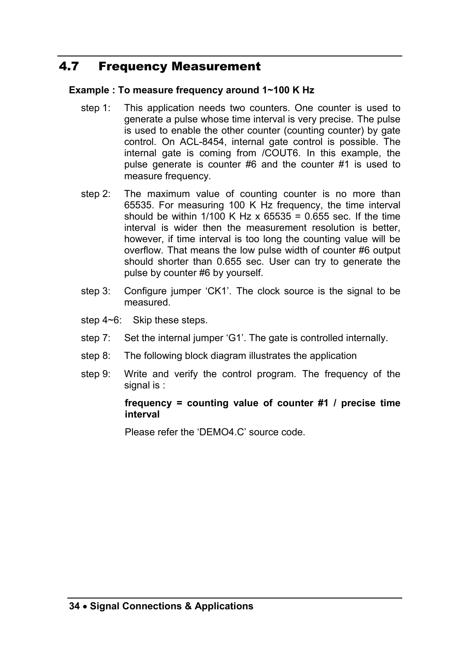# 4.7 Frequency Measurement

#### **Example : To measure frequency around 1~100 K Hz**

- step 1: This application needs two counters. One counter is used to generate a pulse whose time interval is very precise. The pulse is used to enable the other counter (counting counter) by gate control. On ACL-8454, internal gate control is possible. The internal gate is coming from /COUT6. In this example, the pulse generate is counter #6 and the counter #1 is used to measure frequency.
- step 2: The maximum value of counting counter is no more than 65535. For measuring 100 K Hz frequency, the time interval should be within  $1/100$  K Hz x  $65535 = 0.655$  sec. If the time interval is wider then the measurement resolution is better, however, if time interval is too long the counting value will be overflow. That means the low pulse width of counter #6 output should shorter than 0.655 sec. User can try to generate the pulse by counter #6 by yourself.
- step 3: Configure jumper 'CK1'. The clock source is the signal to be measured.
- step 4~6: Skip these steps.
- step 7: Set the internal jumper 'G1'. The gate is controlled internally.
- step 8: The following block diagram illustrates the application
- step 9: Write and verify the control program. The frequency of the signal is :

#### **frequency = counting value of counter #1 / precise time interval**

Please refer the 'DEMO4.C' source code.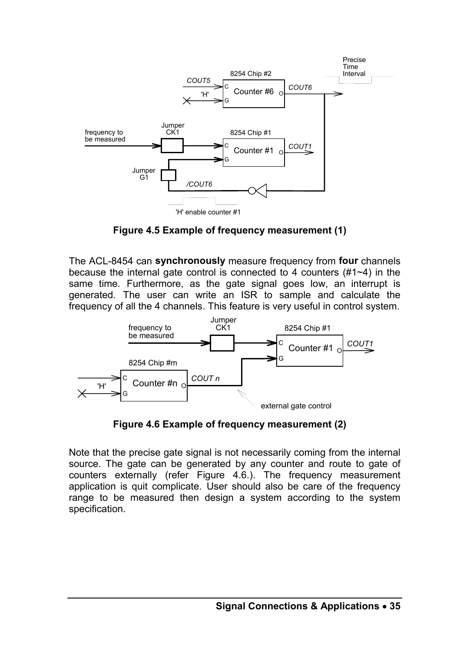

**Figure 4.5 Example of frequency measurement (1)** 

The ACL-8454 can **synchronously** measure frequency from **four** channels because the internal gate control is connected to 4 counters (#1~4) in the same time. Furthermore, as the gate signal goes low, an interrupt is generated. The user can write an ISR to sample and calculate the frequency of all the 4 channels. This feature is very useful in control system.



**Figure 4.6 Example of frequency measurement (2)**

Note that the precise gate signal is not necessarily coming from the internal source. The gate can be generated by any counter and route to gate of counters externally (refer Figure 4.6.). The frequency measurement application is quit complicate. User should also be care of the frequency range to be measured then design a system according to the system specification.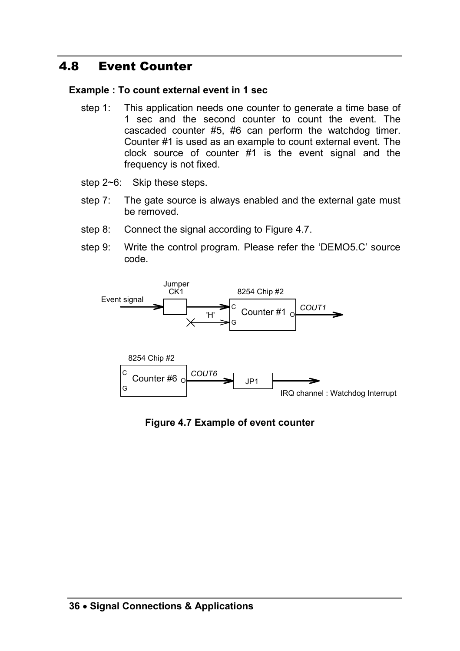# 4.8 Event Counter

#### **Example : To count external event in 1 sec**

- step 1: This application needs one counter to generate a time base of 1 sec and the second counter to count the event. The cascaded counter #5, #6 can perform the watchdog timer. Counter #1 is used as an example to count external event. The clock source of counter #1 is the event signal and the frequency is not fixed.
- step 2~6: Skip these steps.
- step 7: The gate source is always enabled and the external gate must be removed.
- step 8: Connect the signal according to Figure 4.7.
- step 9: Write the control program. Please refer the 'DEMO5.C' source code.



**Figure 4.7 Example of event counter**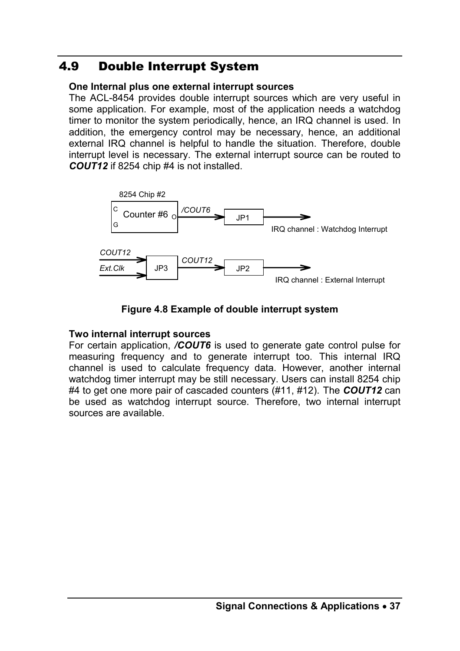# 4.9 Double Interrupt System

#### **One Internal plus one external interrupt sources**

The ACL-8454 provides double interrupt sources which are very useful in some application. For example, most of the application needs a watchdog timer to monitor the system periodically, hence, an IRQ channel is used. In addition, the emergency control may be necessary, hence, an additional external IRQ channel is helpful to handle the situation. Therefore, double interrupt level is necessary. The external interrupt source can be routed to *COUT12* if 8254 chip #4 is not installed.



#### **Figure 4.8 Example of double interrupt system**

#### **Two internal interrupt sources**

For certain application, */COUT6* is used to generate gate control pulse for measuring frequency and to generate interrupt too. This internal IRQ channel is used to calculate frequency data. However, another internal watchdog timer interrupt may be still necessary. Users can install 8254 chip #4 to get one more pair of cascaded counters (#11, #12). The *COUT12* can be used as watchdog interrupt source. Therefore, two internal interrupt sources are available.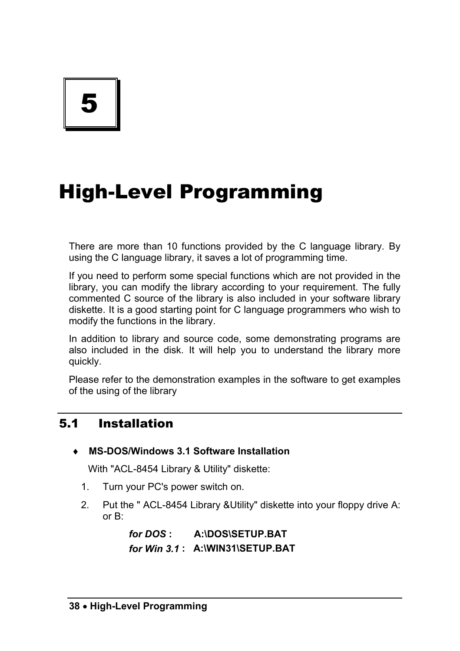5

# High-Level Programming

There are more than 10 functions provided by the C language library. By using the C language library, it saves a lot of programming time.

If you need to perform some special functions which are not provided in the library, you can modify the library according to your requirement. The fully commented C source of the library is also included in your software library diskette. It is a good starting point for C language programmers who wish to modify the functions in the library.

In addition to library and source code, some demonstrating programs are also included in the disk. It will help you to understand the library more quickly.

Please refer to the demonstration examples in the software to get examples of the using of the library

# 5.1 Installation

♦ **MS-DOS/Windows 3.1 Software Installation** 

With "ACL-8454 Library & Utility" diskette:

- 1. Turn your PC's power switch on.
- 2. Put the " ACL-8454 Library &Utility" diskette into your floppy drive A: or B:

*for DOS* **: A:\DOS\SETUP.BAT**  *for Win 3.1* **: A:\WIN31\SETUP.BAT**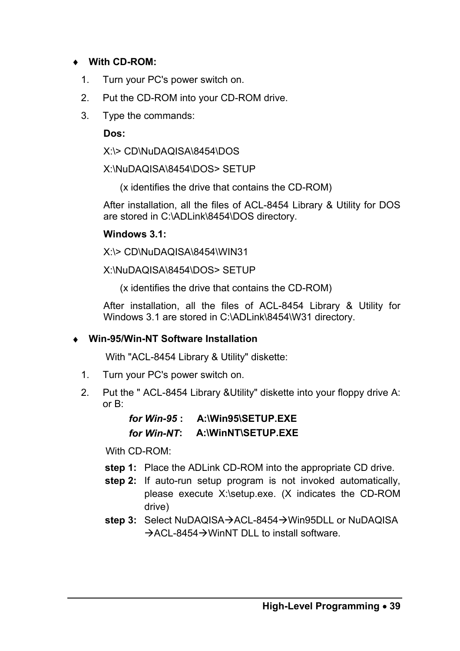#### ♦ **With CD-ROM:**

- 1. Turn your PC's power switch on.
- 2. Put the CD-ROM into your CD-ROM drive.
- 3. Type the commands:

**Dos:** 

X:\> CD\NuDAQISA\8454\DOS

X:\NuDAQISA\8454\DOS> SETUP

(x identifies the drive that contains the CD-ROM)

After installation, all the files of ACL-8454 Library & Utility for DOS are stored in C:\ADLink\8454\DOS directory.

#### **Windows 3.1:**

X:\> CD\NuDAQISA\8454\WIN31

X:\NuDAQISA\8454\DOS> SETUP

(x identifies the drive that contains the CD-ROM)

After installation, all the files of ACL-8454 Library & Utility for Windows 3.1 are stored in C:\ADLink\8454\W31 directory.

#### ♦ **Win-95/Win-NT Software Installation**

With "ACL-8454 Library & Utility" diskette:

- 1. Turn your PC's power switch on.
- 2. Put the " ACL-8454 Library &Utility" diskette into your floppy drive A: or B:

| for Win-95 : | A:\Win95\SETUP.EXE |
|--------------|--------------------|
| for Win-NT:  | A:\WinNT\SETUP.EXE |

With CD-ROM:

- **step 1:** Place the ADLink CD-ROM into the appropriate CD drive.
- **step 2:** If auto-run setup program is not invoked automatically, please execute X:\setup.exe. (X indicates the CD-ROM drive)
- step 3: Select NuDAQISA→ACL-8454→Win95DLL or NuDAQISA  $\rightarrow$  ACL-8454 $\rightarrow$  WinNT DLL to install software.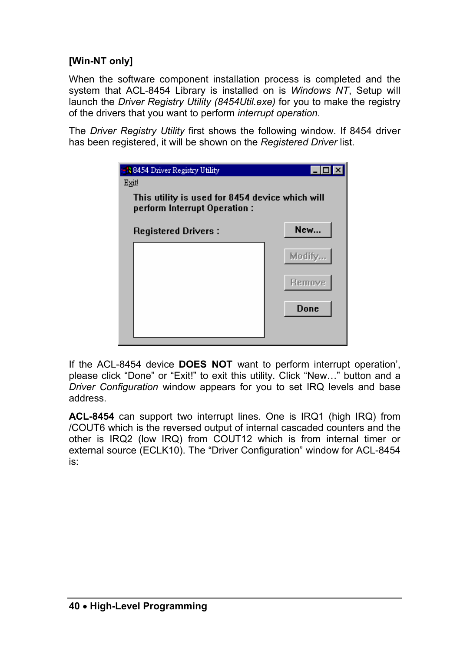#### **[Win-NT only]**

When the software component installation process is completed and the system that ACL-8454 Library is installed on is *Windows NT*, Setup will launch the *Driver Registry Utility (8454Util.exe)* for you to make the registry of the drivers that you want to perform *interrupt operation*.

The *Driver Registry Utility* first shows the following window. If 8454 driver has been registered, it will be shown on the *Registered Driver* list.

| <b>B</b> 8454 Driver Registry Utility<br>Exit                                   |               |
|---------------------------------------------------------------------------------|---------------|
| This utility is used for 8454 device which will<br>perform Interrupt Operation: |               |
| <b>Registered Drivers:</b>                                                      | New           |
|                                                                                 | Modify.       |
|                                                                                 | <b>Remove</b> |
|                                                                                 | Done          |
|                                                                                 |               |

If the ACL-8454 device **DOES NOT** want to perform interrupt operation', please click "Done" or "Exit!" to exit this utility. Click "New…" button and a *Driver Configuration* window appears for you to set IRQ levels and base address.

**ACL-8454** can support two interrupt lines. One is IRQ1 (high IRQ) from /COUT6 which is the reversed output of internal cascaded counters and the other is IRQ2 (low IRQ) from COUT12 which is from internal timer or external source (ECLK10). The "Driver Configuration" window for ACL-8454 is: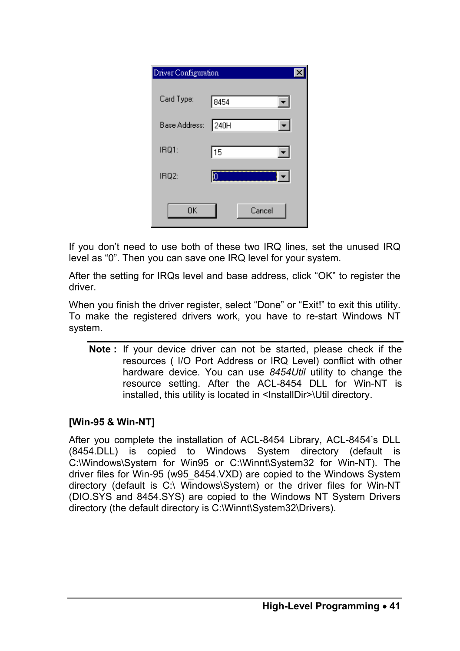| Driver Configuration |        |  |
|----------------------|--------|--|
| Card Type:           | 8454   |  |
| Base Address:        | 240H   |  |
| IRQ1:                | 15     |  |
| IRQ2:                | Iо     |  |
| <b>OK</b>            | Cancel |  |

If you don't need to use both of these two IRQ lines, set the unused IRQ level as "0". Then you can save one IRQ level for your system.

After the setting for IRQs level and base address, click "OK" to register the driver.

When you finish the driver register, select "Done" or "Exit!" to exit this utility. To make the registered drivers work, you have to re-start Windows NT system.

**Note :** If your device driver can not be started, please check if the resources ( I/O Port Address or IRQ Level) conflict with other hardware device. You can use *8454Util* utility to change the resource setting. After the ACL-8454 DLL for Win-NT is installed, this utility is located in <InstallDir>\Util directory.

#### **[Win-95 & Win-NT]**

After you complete the installation of ACL-8454 Library, ACL-8454's DLL (8454.DLL) is copied to Windows System directory (default is C:\Windows\System for Win95 or C:\Winnt\System32 for Win-NT). The driver files for Win-95 (w95\_8454.VXD) are copied to the Windows System directory (default is C:\ Windows\System) or the driver files for Win-NT (DIO.SYS and 8454.SYS) are copied to the Windows NT System Drivers directory (the default directory is C:\Winnt\System32\Drivers).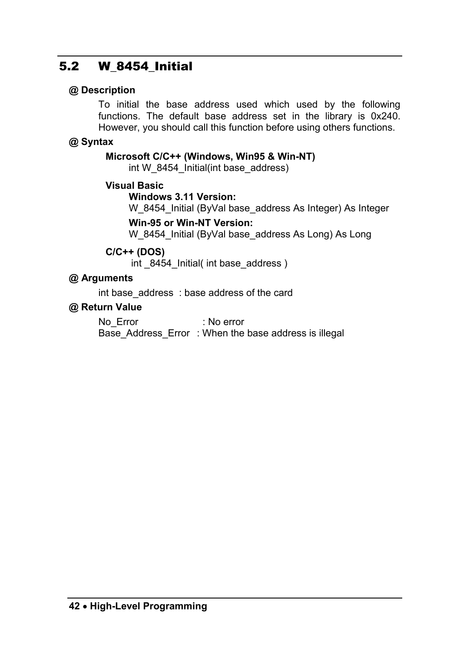# 5.2 W\_8454\_Initial

#### **@ Description**

To initial the base address used which used by the following functions. The default base address set in the library is 0x240. However, you should call this function before using others functions.

#### **@ Syntax**

#### **Microsoft C/C++ (Windows, Win95 & Win-NT)**

int W\_8454\_Initial(int base\_address)

#### **Visual Basic**

#### **Windows 3.11 Version:**

W\_8454\_Initial (ByVal base\_address As Integer) As Integer

#### **Win-95 or Win-NT Version:**

W\_8454\_Initial (ByVal base\_address As Long) As Long

#### **C/C++ (DOS)**

int \_8454\_Initial( int base\_address )

#### **@ Arguments**

int base address : base address of the card

#### **@ Return Value**

No Error : No error Base Address Error : When the base address is illegal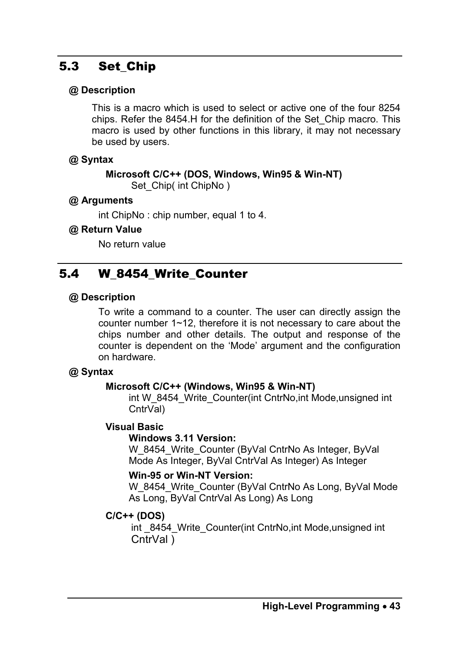# 5.3 Set Chip

#### **@ Description**

This is a macro which is used to select or active one of the four 8254 chips. Refer the 8454.H for the definition of the Set\_Chip macro. This macro is used by other functions in this library, it may not necessary be used by users.

#### **@ Syntax**

#### **Microsoft C/C++ (DOS, Windows, Win95 & Win-NT)**

Set Chip( int ChipNo )

#### **@ Arguments**

int ChipNo : chip number, equal 1 to 4.

#### **@ Return Value**

No return value

# 5.4 W 8454 Write Counter

#### **@ Description**

To write a command to a counter. The user can directly assign the counter number 1~12, therefore it is not necessary to care about the chips number and other details. The output and response of the counter is dependent on the 'Mode' argument and the configuration on hardware.

#### **@ Syntax**

#### **Microsoft C/C++ (Windows, Win95 & Win-NT)**

int W\_8454\_Write\_Counter(int CntrNo, int Mode, unsigned int CntrVal)

#### **Visual Basic**

#### **Windows 3.11 Version:**

W\_8454\_Write\_Counter (ByVal CntrNo As Integer, ByVal Mode As Integer, ByVal CntrVal As Integer) As Integer

#### **Win-95 or Win-NT Version:**

W\_8454\_Write\_Counter (ByVal CntrNo As Long, ByVal Mode As Long, ByVal CntrVal As Long) As Long

#### **C/C++ (DOS)**

int 8454 Write Counter(int CntrNo, int Mode, unsigned int CntrVal )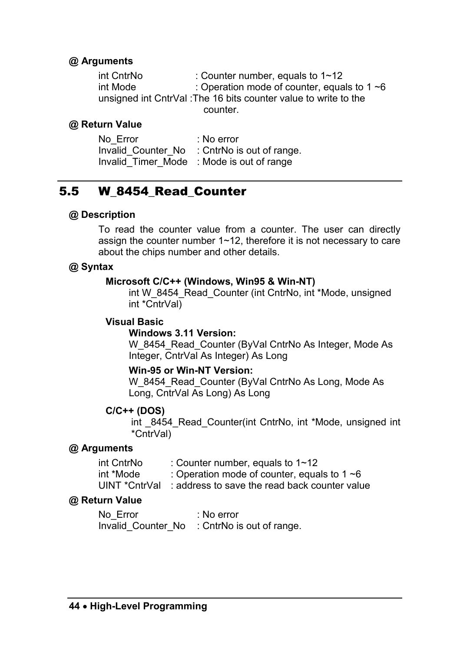#### **@ Arguments**

| int CntrNo                                                      | : Counter number, equals to $1 \sim 12$           |  |
|-----------------------------------------------------------------|---------------------------------------------------|--|
| int Mode                                                        | : Operation mode of counter, equals to 1 $\sim$ 6 |  |
| unsigned int CntrVal: The 16 bits counter value to write to the |                                                   |  |
|                                                                 | counter.                                          |  |

#### **@ Return Value**

| No Error | : No error                                   |
|----------|----------------------------------------------|
|          | Invalid Counter No : CntrNo is out of range. |
|          | Invalid Timer Mode : Mode is out of range    |

### 5.5 W\_8454\_Read\_Counter

#### **@ Description**

To read the counter value from a counter. The user can directly assign the counter number 1~12, therefore it is not necessary to care about the chips number and other details.

#### **@ Syntax**

#### **Microsoft C/C++ (Windows, Win95 & Win-NT)**

int W\_8454\_Read\_Counter (int CntrNo, int \*Mode, unsigned int \*CntrVal)

#### **Visual Basic**

#### **Windows 3.11 Version:**

W\_8454\_Read\_Counter (ByVal CntrNo As Integer, Mode As Integer, CntrVal As Integer) As Long

#### **Win-95 or Win-NT Version:**

W\_8454\_Read\_Counter (ByVal CntrNo As Long, Mode As Long, CntrVal As Long) As Long

#### **C/C++ (DOS)**

int 8454 Read Counter(int CntrNo, int \*Mode, unsigned int \*CntrVal)

#### **@ Arguments**

| int CntrNo | : Counter number, equals to $1 \sim 12$                    |
|------------|------------------------------------------------------------|
| int *Mode  | : Operation mode of counter, equals to 1 $\sim$ 6          |
|            | UINT *CntrVal: address to save the read back counter value |

#### **@ Return Value**

No\_Error : No error Invalid Counter No : CntrNo is out of range.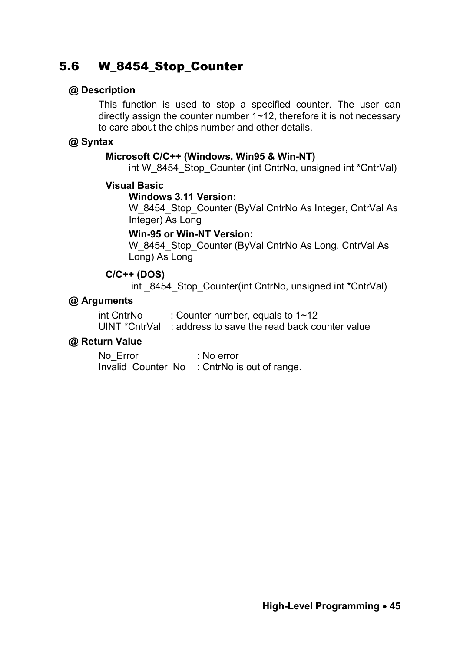# 5.6 W\_8454\_Stop\_Counter

#### **@ Description**

This function is used to stop a specified counter. The user can directly assign the counter number  $1 \sim 12$ , therefore it is not necessary to care about the chips number and other details.

#### **@ Syntax**

#### **Microsoft C/C++ (Windows, Win95 & Win-NT)**

int W\_8454\_Stop\_Counter (int CntrNo, unsigned int \*CntrVal)

#### **Visual Basic**

#### **Windows 3.11 Version:**

W\_8454\_Stop\_Counter (ByVal CntrNo As Integer, CntrVal As Integer) As Long

#### **Win-95 or Win-NT Version:**

W\_8454\_Stop\_Counter (ByVal CntrNo As Long, CntrVal As Long) As Long

#### **C/C++ (DOS)**

int 8454 Stop Counter(int CntrNo, unsigned int \*CntrVal)

#### **@ Arguments**

| int CntrNo | : Counter number, equals to $1 \sim 12$                     |
|------------|-------------------------------------------------------------|
|            | UINT *CntrVal : address to save the read back counter value |

#### **@ Return Value**

No\_Error : No error Invalid Counter No : CntrNo is out of range.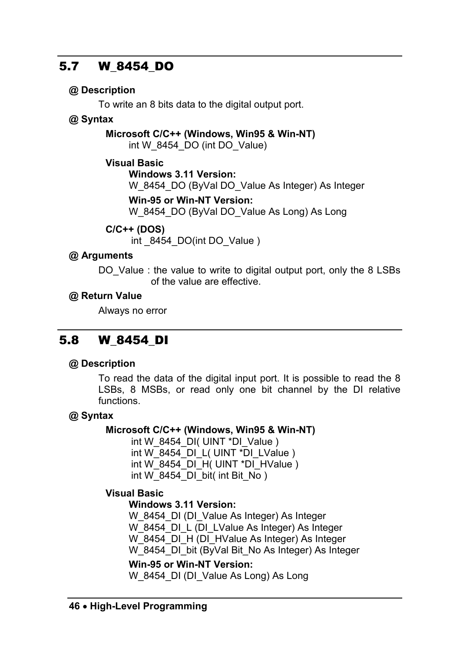# 5.7 W\_8454\_DO

## **@ Description**

To write an 8 bits data to the digital output port.

## **@ Syntax**

**Microsoft C/C++ (Windows, Win95 & Win-NT)** int W\_8454\_DO (int DO\_Value)

## **Visual Basic**

**Windows 3.11 Version:**  W\_8454\_DO (ByVal DO\_Value As Integer) As Integer **Win-95 or Win-NT Version:** 

W\_8454\_DO (ByVal DO\_Value As Long) As Long

# **C/C++ (DOS)**

int \_8454\_DO(int DO\_Value )

# **@ Arguments**

DO Value : the value to write to digital output port, only the 8 LSBs of the value are effective.

## **@ Return Value**

Always no error

# 5.8 W\_8454\_DI

## **@ Description**

To read the data of the digital input port. It is possible to read the 8 LSBs, 8 MSBs, or read only one bit channel by the DI relative functions.

# **@ Syntax**

## **Microsoft C/C++ (Windows, Win95 & Win-NT)**

int W\_8454\_DI( UINT \*DI\_Value ) int W\_8454\_DI\_L( UINT \*DI\_LValue )  $int W$ 8454 $\overline{DI}$ H( UINT \* $\overline{DI}$  HValue ) int W\_8454\_DI\_bit( int Bit\_No )

## **Visual Basic**

#### **Windows 3.11 Version:**

W\_8454\_DI (DI\_Value As Integer) As Integer W\_8454\_DI\_L (DI\_LValue As Integer) As Integer W\_8454\_DI\_H (DI\_HValue As Integer) As Integer W\_8454\_DI\_bit (ByVal Bit\_No As Integer) As Integer

## **Win-95 or Win-NT Version:**

W 8454 DI (DI Value As Long) As Long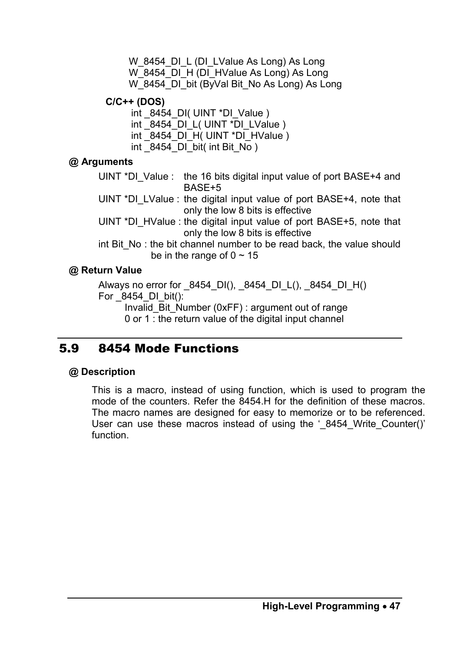W 8454 DI L (DI LValue As Long) As Long W\_8454\_DI\_H (DI\_HValue As Long) As Long W\_8454\_DI\_bit (ByVal Bit\_No As Long) As Long

**C/C++ (DOS)** 

int 8454 DI( UINT \*DI\_Value )

int 8454 DI L( UINT \*DI LValue )

int 8454 DI H( UINT \*DI HValue )

int  $8454$  DI bit( int Bit No )

#### **@ Arguments**

UINT \*DI\_Value : the 16 bits digital input value of port BASE+4 and BASE+5

UINT \*DI\_LValue : the digital input value of port BASE+4, note that only the low 8 bits is effective

UINT \*DI\_HValue : the digital input value of port BASE+5, note that only the low 8 bits is effective

int Bit, No : the bit channel number to be read back, the value should be in the range of  $0 \sim 15$ 

#### **@ Return Value**

Always no error for  $8454$  DI(),  $8454$  DI L(),  $8454$  DI H() For 8454 DI bit():

Invalid\_Bit\_Number (0xFF) : argument out of range

0 or 1 : the return value of the digital input channel

# 5.9 8454 Mode Functions

#### **@ Description**

This is a macro, instead of using function, which is used to program the mode of the counters. Refer the 8454.H for the definition of these macros. The macro names are designed for easy to memorize or to be referenced. User can use these macros instead of using the ' 8454 Write Counter()' function.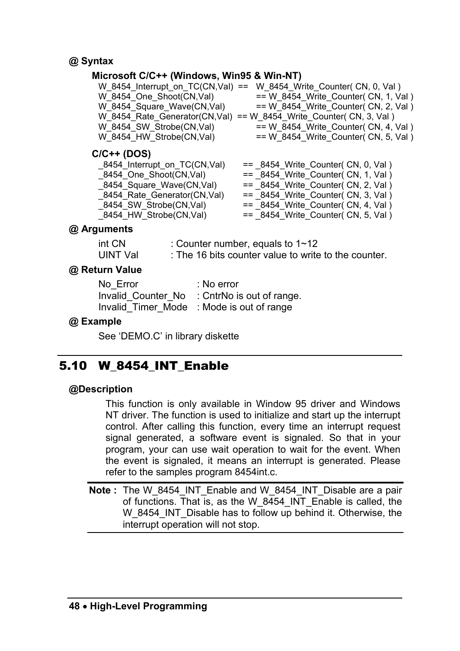#### **@ Syntax**

#### **Microsoft C/C++ (Windows, Win95 & Win-NT)**

|                            | W 8454 Interrupt on TC(CN,Val) == W 8454 Write Counter( CN, 0, Val ) |
|----------------------------|----------------------------------------------------------------------|
| W 8454 One Shoot(CN,Val)   | $== W 8454$ Write Counter (CN, 1, Val)                               |
| W 8454 Square Wave(CN,Val) | $== W 8454$ Write Counter (CN, 2, Val)                               |
|                            | W 8454 Rate Generator(CN,Val) == W 8454 Write Counter( CN, 3, Val )  |
| W 8454 SW Strobe(CN,Val)   | $== W 8454$ Write Counter(CN, 4, Val)                                |
| W 8454 HW Strobe(CN,Val)   | $== W 8454$ Write Counter (CN, 5, Val)                               |
|                            |                                                                      |

#### **C/C++ (DOS)**

| $==$ 8454 Write Counter(CN, 0, Val)  |
|--------------------------------------|
| $==$ 8454 Write Counter(CN, 1, Val)  |
| $==$ 8454 Write Counter(CN, 2, Val)  |
| $==$ 8454 Write Counter (CN, 3, Val) |
| $==$ 8454 Write Counter(CN, 4, Val)  |
| $==$ 8454 Write Counter(CN, 5, Val)  |
|                                      |

#### **@ Arguments**

| int CN   | : Counter number, equals to $1 \sim 12$              |
|----------|------------------------------------------------------|
| UINT Val | : The 16 bits counter value to write to the counter. |

#### **@ Return Value**

| No Error | : No error                                   |
|----------|----------------------------------------------|
|          | Invalid Counter No : CntrNo is out of range. |
|          | Invalid Timer Mode : Mode is out of range    |

#### **@ Example**

See 'DEMO.C' in library diskette

# 5.10 W\_8454\_INT\_Enable

#### **@Description**

This function is only available in Window 95 driver and Windows NT driver. The function is used to initialize and start up the interrupt control. After calling this function, every time an interrupt request signal generated, a software event is signaled. So that in your program, your can use wait operation to wait for the event. When the event is signaled, it means an interrupt is generated. Please refer to the samples program 8454int.c.

**Note** : The W\_8454\_INT\_Enable and W\_8454\_INT\_Disable are a pair of functions. That is, as the W\_8454\_INT\_Enable is called, the W\_8454\_INT\_Disable has to follow up behind it. Otherwise, the interrupt operation will not stop.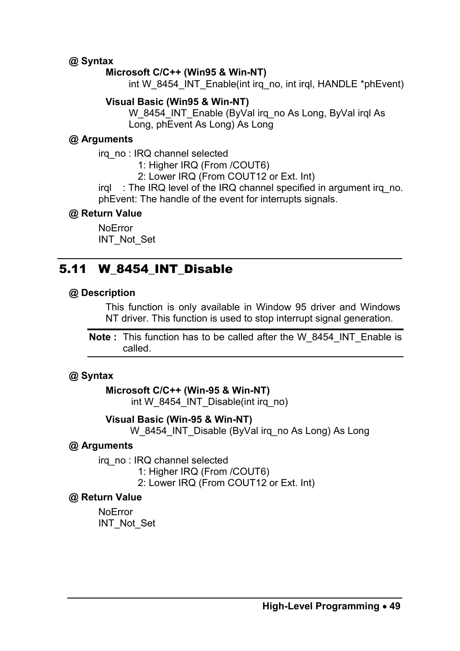#### **@ Syntax**

#### **Microsoft C/C++ (Win95 & Win-NT)**

int W\_8454\_INT\_Enable(int irq\_no, int irql, HANDLE \*phEvent)

#### **Visual Basic (Win95 & Win-NT)**

W\_8454\_INT\_Enable (ByVal irq\_no As Long, ByVal irgl As Long, phEvent As Long) As Long

#### **@ Arguments**

irq\_no : IRQ channel selected

1: Higher IRQ (From /COUT6)

2: Lower IRQ (From COUT12 or Ext. Int)

irql : The IRQ level of the IRQ channel specified in argument irq\_no. phEvent: The handle of the event for interrupts signals.

#### **@ Return Value**

NoError INT\_Not\_Set

# 5.11 W\_8454\_INT\_Disable

#### **@ Description**

This function is only available in Window 95 driver and Windows NT driver. This function is used to stop interrupt signal generation.

**Note :** This function has to be called after the W\_8454\_INT\_Enable is called.

#### **@ Syntax**

#### **Microsoft C/C++ (Win-95 & Win-NT)**

int W\_8454\_INT\_Disable(int irq\_no)

#### **Visual Basic (Win-95 & Win-NT)**

W\_8454\_INT\_Disable (ByVal irq\_no As Long) As Long

#### **@ Arguments**

irq\_no : IRQ channel selected

1: Higher IRQ (From /COUT6)

2: Lower IRQ (From COUT12 or Ext. Int)

#### **@ Return Value**

NoError INT\_Not\_Set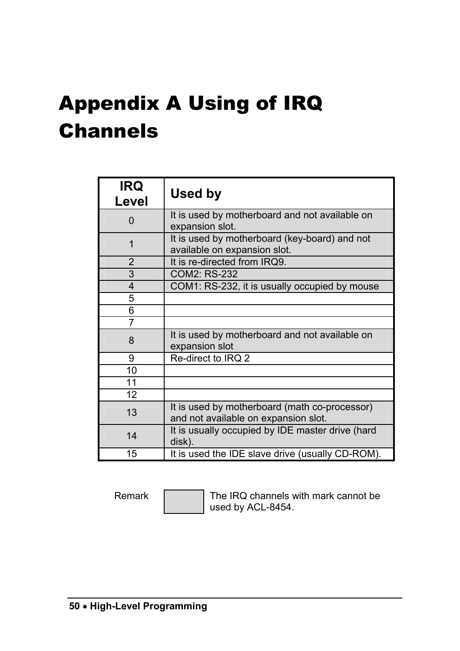# Appendix A Using of IRQ Channels

| <b>IRQ</b><br>Level     | Used by                                                                               |
|-------------------------|---------------------------------------------------------------------------------------|
| 0                       | It is used by motherboard and not available on<br>expansion slot.                     |
| 1                       | It is used by motherboard (key-board) and not<br>available on expansion slot.         |
| 2                       | It is re-directed from IRQ9.                                                          |
| 3                       | COM2: RS-232                                                                          |
| $\overline{\mathbf{4}}$ | COM1: RS-232, it is usually occupied by mouse                                         |
| 5                       |                                                                                       |
| 6                       |                                                                                       |
| 7                       |                                                                                       |
| 8                       | It is used by motherboard and not available on<br>expansion slot                      |
| 9                       | Re-direct to IRQ 2                                                                    |
| 10                      |                                                                                       |
| 11                      |                                                                                       |
| 12                      |                                                                                       |
| 13                      | It is used by motherboard (math co-processor)<br>and not available on expansion slot. |
| 14                      | It is usually occupied by IDE master drive (hard<br>disk).                            |
| 15                      | It is used the IDE slave drive (usually CD-ROM).                                      |

Remark The IRQ channels with mark cannot be used by ACL-8454.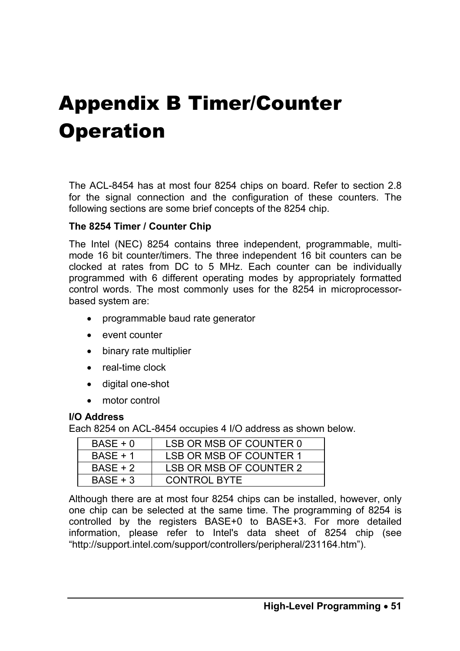# Appendix B Timer/Counter **Operation**

The ACL-8454 has at most four 8254 chips on board. Refer to section 2.8 for the signal connection and the configuration of these counters. The following sections are some brief concepts of the 8254 chip.

#### **The 8254 Timer / Counter Chip**

The Intel (NEC) 8254 contains three independent, programmable, multimode 16 bit counter/timers. The three independent 16 bit counters can be clocked at rates from DC to 5 MHz. Each counter can be individually programmed with 6 different operating modes by appropriately formatted control words. The most commonly uses for the 8254 in microprocessorbased system are:

- programmable baud rate generator
- event counter
- binary rate multiplier
- real-time clock
- digital one-shot
- motor control

#### **I/O Address**

Each 8254 on ACL-8454 occupies 4 I/O address as shown below.

| $BASE + 0$ | LSB OR MSB OF COUNTER 0 |
|------------|-------------------------|
| $BASE + 1$ | LSB OR MSB OF COUNTER 1 |
| $BASE + 2$ | LSB OR MSB OF COUNTER 2 |
| $BASE + 3$ | <b>CONTROL BYTE</b>     |

Although there are at most four 8254 chips can be installed, however, only one chip can be selected at the same time. The programming of 8254 is controlled by the registers BASE+0 to BASE+3. For more detailed information, please refer to Intel's data sheet of 8254 chip (see "http://support.intel.com/support/controllers/peripheral/231164.htm").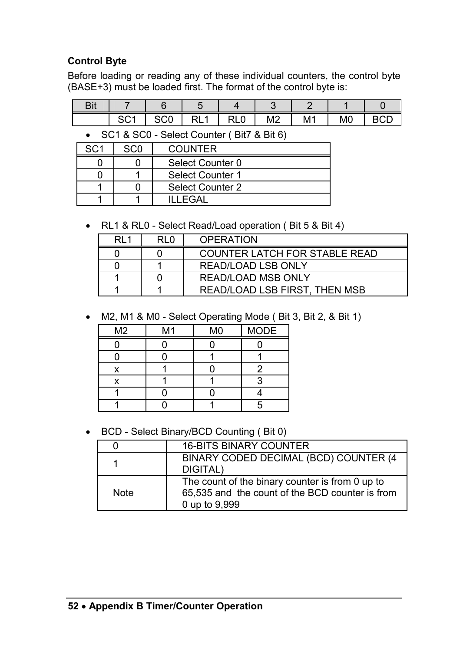## **Control Byte**

Before loading or reading any of these individual counters, the control byte (BASE+3) must be loaded first. The format of the control byte is:

| ╮. |  |     |                    |                       |           |  |
|----|--|-----|--------------------|-----------------------|-----------|--|
|    |  | ៶∟∪ | $M^{\sim}$<br>171Z | $\overline{A}$<br>ΙVΓ | <b>MC</b> |  |

• SC1 & SC0 - Select Counter ( Bit7 & Bit 6)

| SC1 | sco | <b>COUNTER</b>   |
|-----|-----|------------------|
|     |     | Select Counter 0 |
|     |     | Select Counter 1 |
|     |     | Select Counter 2 |
|     |     | II I FGAL        |

• RL1 & RL0 - Select Read/Load operation ( Bit 5 & Bit 4)

| R11 | RI 0 | <b>OPERATION</b>                     |
|-----|------|--------------------------------------|
|     |      | <b>COUNTER LATCH FOR STABLE READ</b> |
|     |      | <b>READ/LOAD LSB ONLY</b>            |
|     |      | <b>READ/LOAD MSB ONLY</b>            |
|     |      | READ/LOAD LSB FIRST, THEN MSB        |

• M2, M1 & M0 - Select Operating Mode ( Bit 3, Bit 2, & Bit 1)

| M <sub>2</sub> | M <sub>1</sub> | M <sub>0</sub> | <b>MODE</b> |
|----------------|----------------|----------------|-------------|
|                |                |                |             |
|                |                |                |             |
| x              |                |                |             |
| x              |                |                |             |
|                |                |                |             |
|                |                |                |             |

• BCD - Select Binary/BCD Counting ( Bit 0)

| 0    | <b>16-BITS BINARY COUNTER</b>                                                                                       |
|------|---------------------------------------------------------------------------------------------------------------------|
| 1    | BINARY CODED DECIMAL (BCD) COUNTER (4<br>DIGITAL)                                                                   |
| Note | The count of the binary counter is from 0 up to<br>65,535 and the count of the BCD counter is from<br>0 up to 9,999 |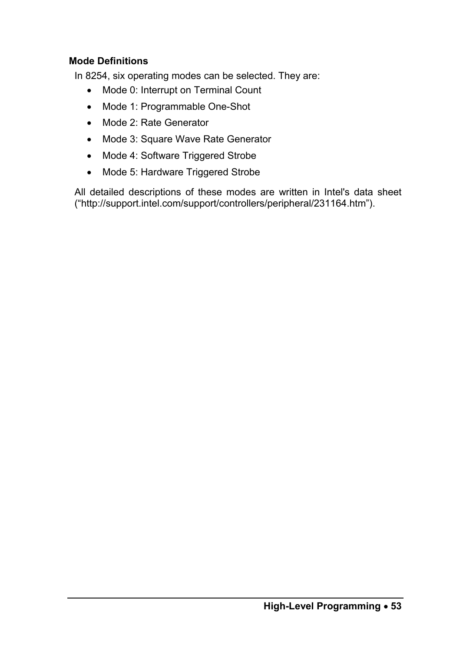#### **Mode Definitions**

In 8254, six operating modes can be selected. They are:

- Mode 0: Interrupt on Terminal Count
- Mode 1: Programmable One-Shot
- Mode 2: Rate Generator
- Mode 3: Square Wave Rate Generator
- Mode 4: Software Triggered Strobe
- Mode 5: Hardware Triggered Strobe

All detailed descriptions of these modes are written in Intel's data sheet ("http://support.intel.com/support/controllers/peripheral/231164.htm").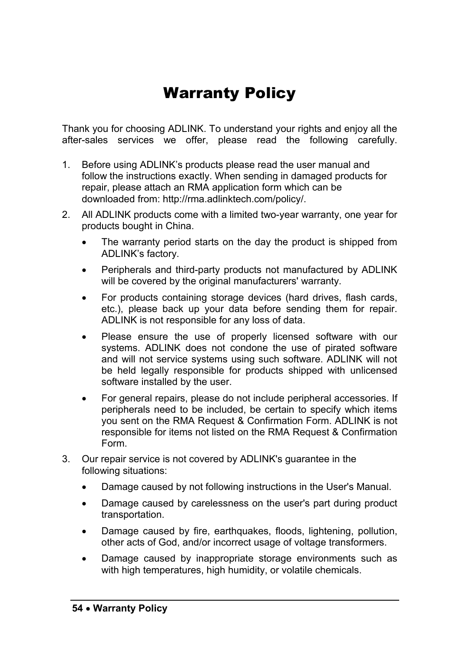# Warranty Policy

Thank you for choosing ADLINK. To understand your rights and enjoy all the after-sales services we offer, please read the following carefully.

- 1. Before using ADLINK's products please read the user manual and follow the instructions exactly. When sending in damaged products for repair, please attach an RMA application form which can be downloaded from: http://rma.adlinktech.com/policy/.
- 2. All ADLINK products come with a limited two-year warranty, one year for products bought in China.
	- The warranty period starts on the day the product is shipped from ADLINK's factory.
	- Peripherals and third-party products not manufactured by ADLINK will be covered by the original manufacturers' warranty.
	- For products containing storage devices (hard drives, flash cards, etc.), please back up your data before sending them for repair. ADLINK is not responsible for any loss of data.
	- Please ensure the use of properly licensed software with our systems. ADLINK does not condone the use of pirated software and will not service systems using such software. ADLINK will not be held legally responsible for products shipped with unlicensed software installed by the user.
	- For general repairs, please do not include peripheral accessories. If peripherals need to be included, be certain to specify which items you sent on the RMA Request & Confirmation Form. ADLINK is not responsible for items not listed on the RMA Request & Confirmation Form.
- 3. Our repair service is not covered by ADLINK's guarantee in the following situations:
	- Damage caused by not following instructions in the User's Manual.
	- Damage caused by carelessness on the user's part during product transportation.
	- Damage caused by fire, earthquakes, floods, lightening, pollution, other acts of God, and/or incorrect usage of voltage transformers.
	- Damage caused by inappropriate storage environments such as with high temperatures, high humidity, or volatile chemicals.